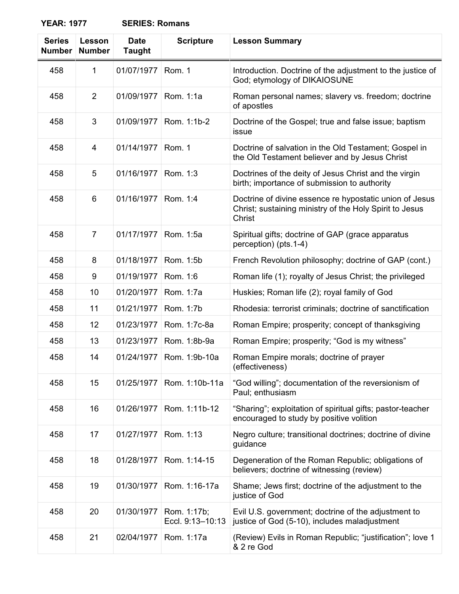| <b>Series</b><br><b>Number</b> | Lesson<br><b>Number</b> | <b>Date</b><br><b>Taught</b> | <b>Scripture</b>                | <b>Lesson Summary</b>                                                                                                        |
|--------------------------------|-------------------------|------------------------------|---------------------------------|------------------------------------------------------------------------------------------------------------------------------|
| 458                            | 1                       | 01/07/1977                   | Rom. 1                          | Introduction. Doctrine of the adjustment to the justice of<br>God; etymology of DIKAIOSUNE                                   |
| 458                            | $\overline{2}$          | 01/09/1977                   | Rom. 1:1a                       | Roman personal names; slavery vs. freedom; doctrine<br>of apostles                                                           |
| 458                            | 3                       | 01/09/1977                   | Rom. 1:1b-2                     | Doctrine of the Gospel; true and false issue; baptism<br>issue                                                               |
| 458                            | 4                       | 01/14/1977                   | Rom. 1                          | Doctrine of salvation in the Old Testament; Gospel in<br>the Old Testament believer and by Jesus Christ                      |
| 458                            | 5                       | 01/16/1977                   | Rom. 1:3                        | Doctrines of the deity of Jesus Christ and the virgin<br>birth; importance of submission to authority                        |
| 458                            | 6                       | 01/16/1977                   | Rom. 1:4                        | Doctrine of divine essence re hypostatic union of Jesus<br>Christ; sustaining ministry of the Holy Spirit to Jesus<br>Christ |
| 458                            | $\overline{7}$          | 01/17/1977                   | Rom. 1:5a                       | Spiritual gifts; doctrine of GAP (grace apparatus<br>perception) (pts.1-4)                                                   |
| 458                            | 8                       | 01/18/1977                   | Rom. 1:5b                       | French Revolution philosophy; doctrine of GAP (cont.)                                                                        |
| 458                            | 9                       | 01/19/1977                   | Rom. 1:6                        | Roman life (1); royalty of Jesus Christ; the privileged                                                                      |
| 458                            | 10                      | 01/20/1977                   | Rom. 1:7a                       | Huskies; Roman life (2); royal family of God                                                                                 |
| 458                            | 11                      | 01/21/1977                   | Rom. 1:7b                       | Rhodesia: terrorist criminals; doctrine of sanctification                                                                    |
| 458                            | 12                      | 01/23/1977                   | Rom. 1:7c-8a                    | Roman Empire; prosperity; concept of thanksgiving                                                                            |
| 458                            | 13                      | 01/23/1977                   | Rom. 1:8b-9a                    | Roman Empire; prosperity; "God is my witness"                                                                                |
| 458                            | 14                      | 01/24/1977                   | Rom. 1:9b-10a                   | Roman Empire morals; doctrine of prayer<br>(effectiveness)                                                                   |
| 458                            | 15                      | 01/25/1977                   | Rom. 1:10b-11a                  | "God willing"; documentation of the reversionism of<br>Paul; enthusiasm                                                      |
| 458                            | 16                      | 01/26/1977                   | Rom. 1:11b-12                   | "Sharing"; exploitation of spiritual gifts; pastor-teacher<br>encouraged to study by positive volition                       |
| 458                            | 17                      | 01/27/1977                   | Rom. 1:13                       | Negro culture; transitional doctrines; doctrine of divine<br>guidance                                                        |
| 458                            | 18                      | 01/28/1977                   | Rom. 1:14-15                    | Degeneration of the Roman Republic; obligations of<br>believers; doctrine of witnessing (review)                             |
| 458                            | 19                      | 01/30/1977                   | Rom. 1:16-17a                   | Shame; Jews first; doctrine of the adjustment to the<br>justice of God                                                       |
| 458                            | 20                      | 01/30/1977                   | Rom. 1:17b;<br>Eccl. 9:13-10:13 | Evil U.S. government; doctrine of the adjustment to<br>justice of God (5-10), includes maladjustment                         |
| 458                            | 21                      | 02/04/1977                   | Rom. 1:17a                      | (Review) Evils in Roman Republic; "justification"; love 1<br>& 2 re God                                                      |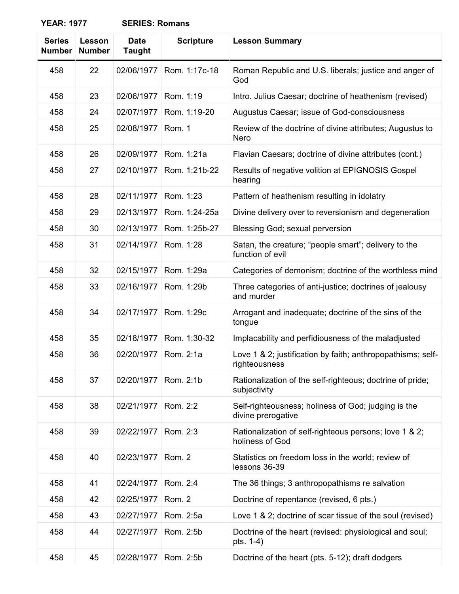| <b>Series</b><br><b>Number</b> | Lesson<br><b>Number</b> | <b>Date</b><br><b>Taught</b> | <b>Scripture</b> | <b>Lesson Summary</b>                                                        |
|--------------------------------|-------------------------|------------------------------|------------------|------------------------------------------------------------------------------|
| 458                            | 22                      | 02/06/1977                   | Rom. 1:17c-18    | Roman Republic and U.S. liberals; justice and anger of<br>God                |
| 458                            | 23                      | 02/06/1977                   | Rom. 1:19        | Intro. Julius Caesar; doctrine of heathenism (revised)                       |
| 458                            | 24                      | 02/07/1977                   | Rom. 1:19-20     | Augustus Caesar; issue of God-consciousness                                  |
| 458                            | 25                      | 02/08/1977                   | Rom. 1           | Review of the doctrine of divine attributes; Augustus to<br><b>Nero</b>      |
| 458                            | 26                      | 02/09/1977                   | Rom. 1:21a       | Flavian Caesars; doctrine of divine attributes (cont.)                       |
| 458                            | 27                      | 02/10/1977                   | Rom. 1:21b-22    | Results of negative volition at EPIGNOSIS Gospel<br>hearing                  |
| 458                            | 28                      | 02/11/1977                   | Rom. 1:23        | Pattern of heathenism resulting in idolatry                                  |
| 458                            | 29                      | 02/13/1977                   | Rom. 1:24-25a    | Divine delivery over to reversionism and degeneration                        |
| 458                            | 30                      | 02/13/1977                   | Rom. 1:25b-27    | Blessing God; sexual perversion                                              |
| 458                            | 31                      | 02/14/1977                   | Rom. 1:28        | Satan, the creature; "people smart"; delivery to the<br>function of evil     |
| 458                            | 32                      | 02/15/1977                   | Rom. 1:29a       | Categories of demonism; doctrine of the worthless mind                       |
| 458                            | 33                      | 02/16/1977                   | Rom. 1:29b       | Three categories of anti-justice; doctrines of jealousy<br>and murder        |
| 458                            | 34                      | 02/17/1977                   | Rom. 1:29c       | Arrogant and inadequate; doctrine of the sins of the<br>tongue               |
| 458                            | 35                      | 02/18/1977                   | Rom. 1:30-32     | Implacability and perfidiousness of the maladjusted                          |
| 458                            | 36                      | 02/20/1977                   | Rom. 2:1a        | Love 1 & 2; justification by faith; anthropopathisms; self-<br>righteousness |
| 458                            | 37                      | 02/20/1977                   | Rom. 2:1b        | Rationalization of the self-righteous; doctrine of pride;<br>subjectivity    |
| 458                            | 38                      | 02/21/1977                   | Rom. 2:2         | Self-righteousness; holiness of God; judging is the<br>divine prerogative    |
| 458                            | 39                      | 02/22/1977                   | Rom. 2:3         | Rationalization of self-righteous persons; love 1 & 2;<br>holiness of God    |
| 458                            | 40                      | 02/23/1977                   | Rom. 2           | Statistics on freedom loss in the world; review of<br>lessons 36-39          |
| 458                            | 41                      | 02/24/1977                   | Rom. 2:4         | The 36 things; 3 anthropopathisms re salvation                               |
| 458                            | 42                      | 02/25/1977                   | Rom. 2           | Doctrine of repentance (revised, 6 pts.)                                     |
| 458                            | 43                      | 02/27/1977                   | Rom. 2:5a        | Love 1 & 2; doctrine of scar tissue of the soul (revised)                    |
| 458                            | 44                      | 02/27/1977                   | Rom. 2:5b        | Doctrine of the heart (revised: physiological and soul;<br>pts. 1-4)         |
| 458                            | 45                      | 02/28/1977                   | Rom. 2:5b        | Doctrine of the heart (pts. 5-12); draft dodgers                             |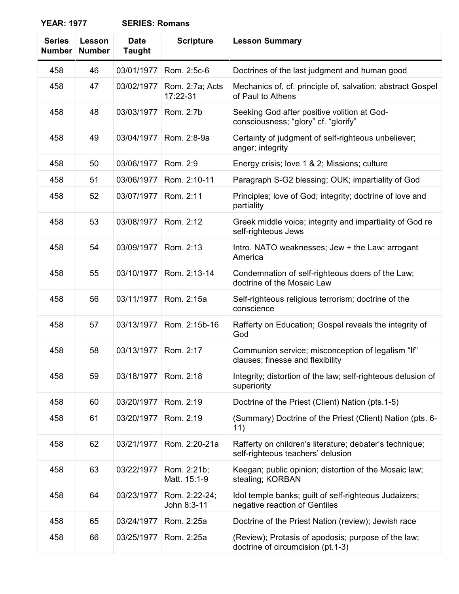| <b>Series</b><br><b>Number</b> | <b>Lesson</b><br><b>Number</b> | <b>Date</b><br><b>Taught</b> | <b>Scripture</b>             | <b>Lesson Summary</b>                                                                        |
|--------------------------------|--------------------------------|------------------------------|------------------------------|----------------------------------------------------------------------------------------------|
| 458                            | 46                             | 03/01/1977                   | Rom. 2:5c-6                  | Doctrines of the last judgment and human good                                                |
| 458                            | 47                             | 03/02/1977                   | Rom. 2:7a; Acts<br>17:22-31  | Mechanics of, cf. principle of, salvation; abstract Gospel<br>of Paul to Athens              |
| 458                            | 48                             | 03/03/1977                   | Rom. 2:7b                    | Seeking God after positive volition at God-<br>consciousness; "glory" cf. "glorify"          |
| 458                            | 49                             | 03/04/1977                   | Rom. 2:8-9a                  | Certainty of judgment of self-righteous unbeliever;<br>anger; integrity                      |
| 458                            | 50                             | 03/06/1977                   | Rom. 2:9                     | Energy crisis; love 1 & 2; Missions; culture                                                 |
| 458                            | 51                             | 03/06/1977                   | Rom. 2:10-11                 | Paragraph S-G2 blessing; OUK; impartiality of God                                            |
| 458                            | 52                             | 03/07/1977                   | Rom. 2:11                    | Principles; love of God; integrity; doctrine of love and<br>partiality                       |
| 458                            | 53                             | 03/08/1977                   | Rom. 2:12                    | Greek middle voice; integrity and impartiality of God re<br>self-righteous Jews              |
| 458                            | 54                             | 03/09/1977                   | Rom. 2:13                    | Intro. NATO weaknesses; Jew + the Law; arrogant<br>America                                   |
| 458                            | 55                             | 03/10/1977                   | Rom. 2:13-14                 | Condemnation of self-righteous doers of the Law;<br>doctrine of the Mosaic Law               |
| 458                            | 56                             | 03/11/1977                   | Rom. 2:15a                   | Self-righteous religious terrorism; doctrine of the<br>conscience                            |
| 458                            | 57                             | 03/13/1977                   | Rom. 2:15b-16                | Rafferty on Education; Gospel reveals the integrity of<br>God                                |
| 458                            | 58                             | 03/13/1977                   | Rom. 2:17                    | Communion service; misconception of legalism "If"<br>clauses; finesse and flexibility        |
| 458                            | 59                             | 03/18/1977                   | Rom. 2:18                    | Integrity; distortion of the law; self-righteous delusion of<br>superiority                  |
| 458                            | 60                             | 03/20/1977                   | Rom. 2:19                    | Doctrine of the Priest (Client) Nation (pts.1-5)                                             |
| 458                            | 61                             | 03/20/1977                   | Rom. 2:19                    | (Summary) Doctrine of the Priest (Client) Nation (pts. 6-<br>11)                             |
| 458                            | 62                             | 03/21/1977                   | Rom. 2:20-21a                | Rafferty on children's literature; debater's technique;<br>self-righteous teachers' delusion |
| 458                            | 63                             | 03/22/1977                   | Rom. 2:21b;<br>Matt. 15:1-9  | Keegan; public opinion; distortion of the Mosaic law;<br>stealing; KORBAN                    |
| 458                            | 64                             | 03/23/1977                   | Rom. 2:22-24;<br>John 8:3-11 | Idol temple banks; guilt of self-righteous Judaizers;<br>negative reaction of Gentiles       |
| 458                            | 65                             | 03/24/1977                   | Rom. 2:25a                   | Doctrine of the Priest Nation (review); Jewish race                                          |
| 458                            | 66                             | 03/25/1977                   | Rom. 2:25a                   | (Review); Protasis of apodosis; purpose of the law;<br>doctrine of circumcision (pt.1-3)     |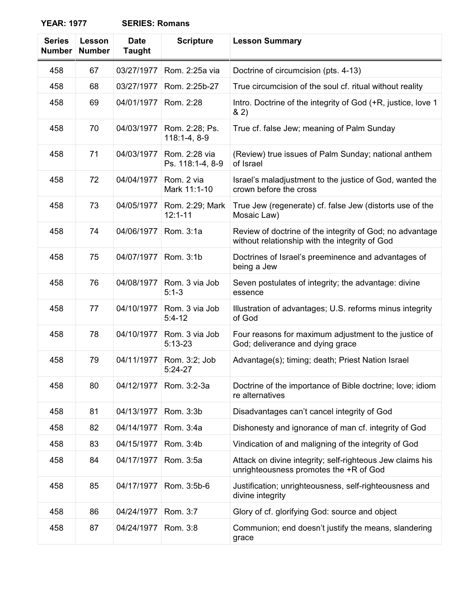| <b>Series</b><br><b>Number</b> | Lesson<br><b>Number</b> | <b>Date</b><br><b>Taught</b> | <b>Scripture</b>                  | <b>Lesson Summary</b>                                                                                      |
|--------------------------------|-------------------------|------------------------------|-----------------------------------|------------------------------------------------------------------------------------------------------------|
| 458                            | 67                      | 03/27/1977                   | Rom. 2:25a via                    | Doctrine of circumcision (pts. 4-13)                                                                       |
| 458                            | 68                      | 03/27/1977                   | Rom. 2:25b-27                     | True circumcision of the soul cf. ritual without reality                                                   |
| 458                            | 69                      | 04/01/1977                   | Rom. 2:28                         | Intro. Doctrine of the integrity of God (+R, justice, love 1<br>82)                                        |
| 458                            | 70                      | 04/03/1977                   | Rom. 2:28; Ps.<br>$118:1-4, 8-9$  | True cf. false Jew; meaning of Palm Sunday                                                                 |
| 458                            | 71                      | 04/03/1977                   | Rom. 2:28 via<br>Ps. 118:1-4, 8-9 | (Review) true issues of Palm Sunday; national anthem<br>of Israel                                          |
| 458                            | 72                      | 04/04/1977                   | Rom. 2 via<br>Mark 11:1-10        | Israel's maladjustment to the justice of God, wanted the<br>crown before the cross                         |
| 458                            | 73                      | 04/05/1977                   | Rom. 2:29; Mark<br>$12:1 - 11$    | True Jew (regenerate) cf. false Jew (distorts use of the<br>Mosaic Law)                                    |
| 458                            | 74                      | 04/06/1977                   | Rom. 3:1a                         | Review of doctrine of the integrity of God; no advantage<br>without relationship with the integrity of God |
| 458                            | 75                      | 04/07/1977                   | Rom. 3:1b                         | Doctrines of Israel's preeminence and advantages of<br>being a Jew                                         |
| 458                            | 76                      | 04/08/1977                   | Rom. 3 via Job<br>$5:1-3$         | Seven postulates of integrity; the advantage: divine<br>essence                                            |
| 458                            | 77                      | 04/10/1977                   | Rom. 3 via Job<br>$5:4-12$        | Illustration of advantages; U.S. reforms minus integrity<br>of God                                         |
| 458                            | 78                      | 04/10/1977                   | Rom. 3 via Job<br>$5:13-23$       | Four reasons for maximum adjustment to the justice of<br>God; deliverance and dying grace                  |
| 458                            | 79                      | 04/11/1977                   | Rom. 3:2; Job<br>$5:24-27$        | Advantage(s); timing; death; Priest Nation Israel                                                          |
| 458                            | 80                      | 04/12/1977                   | Rom. 3:2-3a                       | Doctrine of the importance of Bible doctrine; love; idiom<br>re alternatives                               |
| 458                            | 81                      | 04/13/1977                   | Rom. 3:3b                         | Disadvantages can't cancel integrity of God                                                                |
| 458                            | 82                      | 04/14/1977                   | Rom. 3:4a                         | Dishonesty and ignorance of man cf. integrity of God                                                       |
| 458                            | 83                      | 04/15/1977                   | Rom. 3:4b                         | Vindication of and maligning of the integrity of God                                                       |
| 458                            | 84                      | 04/17/1977                   | Rom. 3:5a                         | Attack on divine integrity; self-righteous Jew claims his<br>unrighteousness promotes the +R of God        |
| 458                            | 85                      | 04/17/1977                   | Rom. 3:5b-6                       | Justification; unrighteousness, self-righteousness and<br>divine integrity                                 |
| 458                            | 86                      | 04/24/1977                   | Rom. 3:7                          | Glory of cf. glorifying God: source and object                                                             |
| 458                            | 87                      | 04/24/1977                   | Rom. 3:8                          | Communion; end doesn't justify the means, slandering<br>grace                                              |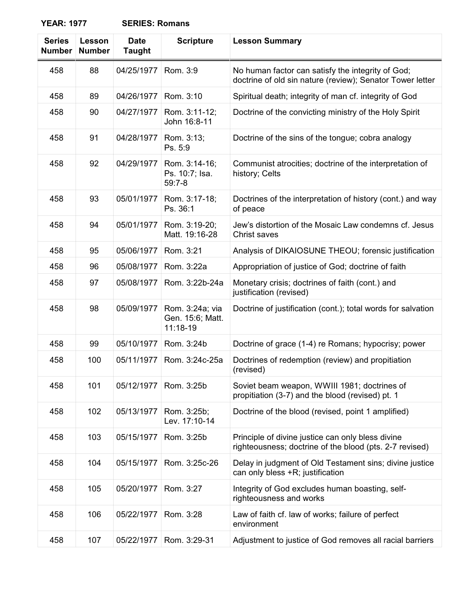| <b>SERIES: Romans</b> |
|-----------------------|
|-----------------------|

| <b>Series</b><br><b>Number</b> | Lesson<br><b>Number</b> | <b>Date</b><br><b>Taught</b> | <b>Scripture</b>                                | <b>Lesson Summary</b>                                                                                          |
|--------------------------------|-------------------------|------------------------------|-------------------------------------------------|----------------------------------------------------------------------------------------------------------------|
| 458                            | 88                      | 04/25/1977                   | Rom. 3:9                                        | No human factor can satisfy the integrity of God;<br>doctrine of old sin nature (review); Senator Tower letter |
| 458                            | 89                      | 04/26/1977                   | Rom. 3:10                                       | Spiritual death; integrity of man cf. integrity of God                                                         |
| 458                            | 90                      | 04/27/1977                   | Rom. 3:11-12;<br>John 16:8-11                   | Doctrine of the convicting ministry of the Holy Spirit                                                         |
| 458                            | 91                      | 04/28/1977                   | Rom. 3:13;<br>Ps. 5:9                           | Doctrine of the sins of the tongue; cobra analogy                                                              |
| 458                            | 92                      | 04/29/1977                   | Rom. 3:14-16;<br>Ps. 10:7; Isa.<br>$59:7-8$     | Communist atrocities; doctrine of the interpretation of<br>history; Celts                                      |
| 458                            | 93                      | 05/01/1977                   | Rom. 3:17-18;<br>Ps. 36:1                       | Doctrines of the interpretation of history (cont.) and way<br>of peace                                         |
| 458                            | 94                      | 05/01/1977                   | Rom. 3:19-20;<br>Matt. 19:16-28                 | Jew's distortion of the Mosaic Law condemns cf. Jesus<br>Christ saves                                          |
| 458                            | 95                      | 05/06/1977                   | Rom. 3:21                                       | Analysis of DIKAIOSUNE THEOU; forensic justification                                                           |
| 458                            | 96                      | 05/08/1977                   | Rom. 3:22a                                      | Appropriation of justice of God; doctrine of faith                                                             |
| 458                            | 97                      | 05/08/1977                   | Rom. 3:22b-24a                                  | Monetary crisis; doctrines of faith (cont.) and<br>justification (revised)                                     |
| 458                            | 98                      | 05/09/1977                   | Rom. 3:24a; via<br>Gen. 15:6; Matt.<br>11:18-19 | Doctrine of justification (cont.); total words for salvation                                                   |
| 458                            | 99                      | 05/10/1977                   | Rom. 3:24b                                      | Doctrine of grace (1-4) re Romans; hypocrisy; power                                                            |
| 458                            | 100                     | 05/11/1977                   | Rom. 3:24c-25a                                  | Doctrines of redemption (review) and propitiation<br>(revised)                                                 |
| 458                            | 101                     | 05/12/1977                   | Rom. 3:25b                                      | Soviet beam weapon, WWIII 1981; doctrines of<br>propitiation (3-7) and the blood (revised) pt. 1               |
| 458                            | 102                     | 05/13/1977                   | Rom. 3:25b;<br>Lev. 17:10-14                    | Doctrine of the blood (revised, point 1 amplified)                                                             |
| 458                            | 103                     | 05/15/1977                   | Rom. 3:25b                                      | Principle of divine justice can only bless divine<br>righteousness; doctrine of the blood (pts. 2-7 revised)   |
| 458                            | 104                     | 05/15/1977                   | Rom. 3:25c-26                                   | Delay in judgment of Old Testament sins; divine justice<br>can only bless +R; justification                    |
| 458                            | 105                     | 05/20/1977                   | Rom. 3:27                                       | Integrity of God excludes human boasting, self-<br>righteousness and works                                     |
| 458                            | 106                     | 05/22/1977                   | Rom. 3:28                                       | Law of faith cf. law of works; failure of perfect<br>environment                                               |
| 458                            | 107                     | 05/22/1977                   | Rom. 3:29-31                                    | Adjustment to justice of God removes all racial barriers                                                       |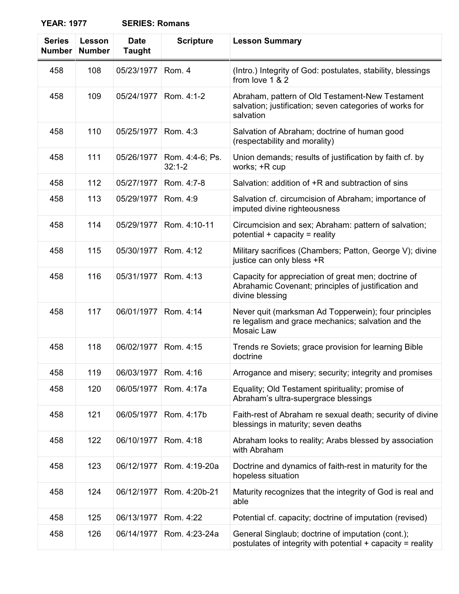| <b>Series</b><br><b>Number</b> | Lesson<br><b>Number</b> | <b>Date</b><br><b>Taught</b> | <b>Scripture</b>              | <b>Lesson Summary</b>                                                                                                         |
|--------------------------------|-------------------------|------------------------------|-------------------------------|-------------------------------------------------------------------------------------------------------------------------------|
| 458                            | 108                     | 05/23/1977                   | Rom. 4                        | (Intro.) Integrity of God: postulates, stability, blessings<br>from love 1 & 2                                                |
| 458                            | 109                     | 05/24/1977                   | Rom. 4:1-2                    | Abraham, pattern of Old Testament-New Testament<br>salvation; justification; seven categories of works for<br>salvation       |
| 458                            | 110                     | 05/25/1977                   | Rom. 4:3                      | Salvation of Abraham; doctrine of human good<br>(respectability and morality)                                                 |
| 458                            | 111                     | 05/26/1977                   | Rom. 4:4-6; Ps.<br>$32:1 - 2$ | Union demands; results of justification by faith cf. by<br>works; +R cup                                                      |
| 458                            | 112                     | 05/27/1977                   | Rom. 4:7-8                    | Salvation: addition of +R and subtraction of sins                                                                             |
| 458                            | 113                     | 05/29/1977                   | Rom. 4:9                      | Salvation cf. circumcision of Abraham; importance of<br>imputed divine righteousness                                          |
| 458                            | 114                     | 05/29/1977                   | Rom. 4:10-11                  | Circumcision and sex; Abraham: pattern of salvation;<br>potential $+$ capacity = reality                                      |
| 458                            | 115                     | 05/30/1977                   | Rom. 4:12                     | Military sacrifices (Chambers; Patton, George V); divine<br>justice can only bless +R                                         |
| 458                            | 116                     | 05/31/1977                   | Rom. 4:13                     | Capacity for appreciation of great men; doctrine of<br>Abrahamic Covenant; principles of justification and<br>divine blessing |
| 458                            | 117                     | 06/01/1977                   | Rom. 4:14                     | Never quit (marksman Ad Topperwein); four principles<br>re legalism and grace mechanics; salvation and the<br>Mosaic Law      |
| 458                            | 118                     | 06/02/1977                   | Rom. 4:15                     | Trends re Soviets; grace provision for learning Bible<br>doctrine                                                             |
| 458                            | 119                     | 06/03/1977                   | Rom. 4:16                     | Arrogance and misery; security; integrity and promises                                                                        |
| 458                            | 120                     | 06/05/1977                   | Rom. 4:17a                    | Equality; Old Testament spirituality; promise of<br>Abraham's ultra-supergrace blessings                                      |
| 458                            | 121                     | 06/05/1977                   | Rom. 4:17b                    | Faith-rest of Abraham re sexual death; security of divine<br>blessings in maturity; seven deaths                              |
| 458                            | 122                     | 06/10/1977                   | Rom. 4:18                     | Abraham looks to reality; Arabs blessed by association<br>with Abraham                                                        |
| 458                            | 123                     | 06/12/1977                   | Rom. 4:19-20a                 | Doctrine and dynamics of faith-rest in maturity for the<br>hopeless situation                                                 |
| 458                            | 124                     | 06/12/1977                   | Rom. 4:20b-21                 | Maturity recognizes that the integrity of God is real and<br>able                                                             |
| 458                            | 125                     | 06/13/1977                   | Rom. 4:22                     | Potential cf. capacity; doctrine of imputation (revised)                                                                      |
| 458                            | 126                     | 06/14/1977                   | Rom. 4:23-24a                 | General Singlaub; doctrine of imputation (cont.);<br>postulates of integrity with potential $+$ capacity = reality            |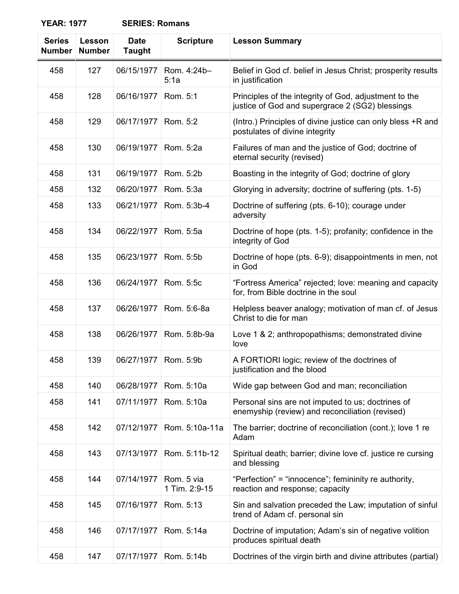| <b>Series</b><br><b>Number</b> | Lesson<br><b>Number</b> | <b>Date</b><br><b>Taught</b> | <b>Scripture</b>            | <b>Lesson Summary</b>                                                                                    |
|--------------------------------|-------------------------|------------------------------|-----------------------------|----------------------------------------------------------------------------------------------------------|
| 458                            | 127                     | 06/15/1977                   | Rom. 4:24b-<br>5:1a         | Belief in God cf. belief in Jesus Christ; prosperity results<br>in justification                         |
| 458                            | 128                     | 06/16/1977                   | Rom. 5:1                    | Principles of the integrity of God, adjustment to the<br>justice of God and supergrace 2 (SG2) blessings |
| 458                            | 129                     | 06/17/1977                   | Rom. 5:2                    | (Intro.) Principles of divine justice can only bless +R and<br>postulates of divine integrity            |
| 458                            | 130                     | 06/19/1977                   | Rom. 5:2a                   | Failures of man and the justice of God; doctrine of<br>eternal security (revised)                        |
| 458                            | 131                     | 06/19/1977                   | Rom. 5:2b                   | Boasting in the integrity of God; doctrine of glory                                                      |
| 458                            | 132                     | 06/20/1977                   | Rom. 5:3a                   | Glorying in adversity; doctrine of suffering (pts. 1-5)                                                  |
| 458                            | 133                     | 06/21/1977                   | Rom. 5:3b-4                 | Doctrine of suffering (pts. 6-10); courage under<br>adversity                                            |
| 458                            | 134                     | 06/22/1977                   | Rom. 5:5a                   | Doctrine of hope (pts. 1-5); profanity; confidence in the<br>integrity of God                            |
| 458                            | 135                     | 06/23/1977                   | Rom. 5:5b                   | Doctrine of hope (pts. 6-9); disappointments in men, not<br>in God                                       |
| 458                            | 136                     | 06/24/1977                   | Rom. 5:5c                   | "Fortress America" rejected; love: meaning and capacity<br>for, from Bible doctrine in the soul          |
| 458                            | 137                     | 06/26/1977                   | Rom. 5:6-8a                 | Helpless beaver analogy; motivation of man cf. of Jesus<br>Christ to die for man                         |
| 458                            | 138                     | 06/26/1977                   | Rom. 5:8b-9a                | Love 1 & 2; anthropopathisms; demonstrated divine<br>love                                                |
| 458                            | 139                     | 06/27/1977                   | Rom. 5:9b                   | A FORTIORI logic; review of the doctrines of<br>justification and the blood                              |
| 458                            | 140                     | 06/28/1977                   | Rom. 5:10a                  | Wide gap between God and man; reconciliation                                                             |
| 458                            | 141                     | 07/11/1977                   | Rom. 5:10a                  | Personal sins are not imputed to us; doctrines of<br>enemyship (review) and reconciliation (revised)     |
| 458                            | 142                     | 07/12/1977                   | Rom. 5:10a-11a              | The barrier; doctrine of reconciliation (cont.); love 1 re<br>Adam                                       |
| 458                            | 143                     | 07/13/1977                   | Rom. 5:11b-12               | Spiritual death; barrier; divine love cf. justice re cursing<br>and blessing                             |
| 458                            | 144                     | 07/14/1977                   | Rom. 5 via<br>1 Tim. 2:9-15 | "Perfection" = "innocence"; femininity re authority,<br>reaction and response; capacity                  |
| 458                            | 145                     | 07/16/1977                   | Rom. 5:13                   | Sin and salvation preceded the Law; imputation of sinful<br>trend of Adam cf. personal sin               |
| 458                            | 146                     | 07/17/1977                   | Rom. 5:14a                  | Doctrine of imputation; Adam's sin of negative volition<br>produces spiritual death                      |
| 458                            | 147                     | 07/17/1977                   | Rom. 5:14b                  | Doctrines of the virgin birth and divine attributes (partial)                                            |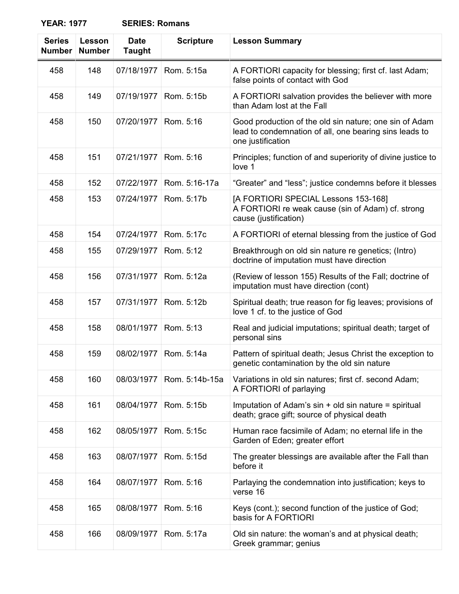| <b>SERIES: Romans</b> |
|-----------------------|
|                       |

| <b>Series</b><br><b>Number</b> | Lesson<br><b>Number</b> | <b>Date</b><br><b>Taught</b> | <b>Scripture</b> | <b>Lesson Summary</b>                                                                                                                 |
|--------------------------------|-------------------------|------------------------------|------------------|---------------------------------------------------------------------------------------------------------------------------------------|
| 458                            | 148                     | 07/18/1977                   | Rom. 5:15a       | A FORTIORI capacity for blessing; first cf. last Adam;<br>false points of contact with God                                            |
| 458                            | 149                     | 07/19/1977                   | Rom. 5:15b       | A FORTIORI salvation provides the believer with more<br>than Adam lost at the Fall                                                    |
| 458                            | 150                     | 07/20/1977                   | Rom. 5:16        | Good production of the old sin nature; one sin of Adam<br>lead to condemnation of all, one bearing sins leads to<br>one justification |
| 458                            | 151                     | 07/21/1977                   | Rom. 5:16        | Principles; function of and superiority of divine justice to<br>love 1                                                                |
| 458                            | 152                     | 07/22/1977                   | Rom. 5:16-17a    | "Greater" and "less"; justice condemns before it blesses                                                                              |
| 458                            | 153                     | 07/24/1977                   | Rom. 5:17b       | [A FORTIORI SPECIAL Lessons 153-168]<br>A FORTIORI re weak cause (sin of Adam) cf. strong<br>cause (justification)                    |
| 458                            | 154                     | 07/24/1977                   | Rom. 5:17c       | A FORTIORI of eternal blessing from the justice of God                                                                                |
| 458                            | 155                     | 07/29/1977                   | Rom. 5:12        | Breakthrough on old sin nature re genetics; (Intro)<br>doctrine of imputation must have direction                                     |
| 458                            | 156                     | 07/31/1977                   | Rom. 5:12a       | (Review of lesson 155) Results of the Fall; doctrine of<br>imputation must have direction (cont)                                      |
| 458                            | 157                     | 07/31/1977                   | Rom. 5:12b       | Spiritual death; true reason for fig leaves; provisions of<br>love 1 cf. to the justice of God                                        |
| 458                            | 158                     | 08/01/1977                   | Rom. 5:13        | Real and judicial imputations; spiritual death; target of<br>personal sins                                                            |
| 458                            | 159                     | 08/02/1977                   | Rom. 5:14a       | Pattern of spiritual death; Jesus Christ the exception to<br>genetic contamination by the old sin nature                              |
| 458                            | 160                     | 08/03/1977                   | Rom. 5:14b-15a   | Variations in old sin natures; first cf. second Adam;<br>A FORTIORI of parlaying                                                      |
| 458                            | 161                     | 08/04/1977                   | Rom. 5:15b       | Imputation of Adam's sin + old sin nature = spiritual<br>death; grace gift; source of physical death                                  |
| 458                            | 162                     | 08/05/1977                   | Rom. 5:15c       | Human race facsimile of Adam; no eternal life in the<br>Garden of Eden; greater effort                                                |
| 458                            | 163                     | 08/07/1977                   | Rom. 5:15d       | The greater blessings are available after the Fall than<br>before it                                                                  |
| 458                            | 164                     | 08/07/1977                   | Rom. 5:16        | Parlaying the condemnation into justification; keys to<br>verse 16                                                                    |
| 458                            | 165                     | 08/08/1977                   | Rom. 5:16        | Keys (cont.); second function of the justice of God;<br>basis for A FORTIORI                                                          |
| 458                            | 166                     | 08/09/1977                   | Rom. 5:17a       | Old sin nature: the woman's and at physical death;<br>Greek grammar; genius                                                           |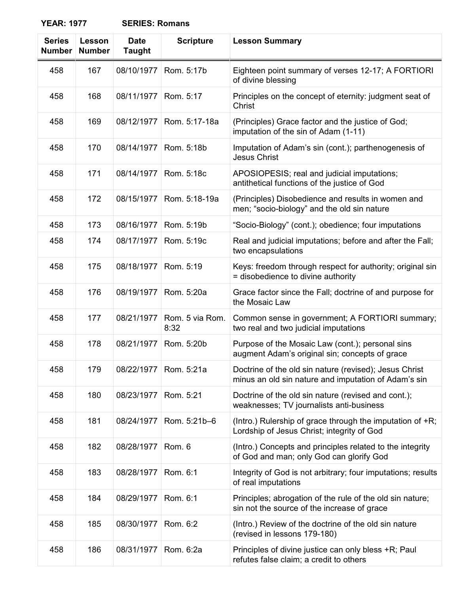| <b>SERIES: Romans</b> |  |
|-----------------------|--|
|-----------------------|--|

| <b>Series</b><br><b>Number</b> | Lesson<br><b>Number</b> | <b>Date</b><br><b>Taught</b> | <b>Scripture</b>        | <b>Lesson Summary</b>                                                                                          |
|--------------------------------|-------------------------|------------------------------|-------------------------|----------------------------------------------------------------------------------------------------------------|
| 458                            | 167                     | 08/10/1977                   | Rom. 5:17b              | Eighteen point summary of verses 12-17; A FORTIORI<br>of divine blessing                                       |
| 458                            | 168                     | 08/11/1977                   | Rom. 5:17               | Principles on the concept of eternity: judgment seat of<br>Christ                                              |
| 458                            | 169                     | 08/12/1977                   | Rom. 5:17-18a           | (Principles) Grace factor and the justice of God;<br>imputation of the sin of Adam (1-11)                      |
| 458                            | 170                     | 08/14/1977                   | Rom. 5:18b              | Imputation of Adam's sin (cont.); parthenogenesis of<br>Jesus Christ                                           |
| 458                            | 171                     | 08/14/1977                   | Rom. 5:18c              | APOSIOPESIS; real and judicial imputations;<br>antithetical functions of the justice of God                    |
| 458                            | 172                     | 08/15/1977                   | Rom. 5:18-19a           | (Principles) Disobedience and results in women and<br>men; "socio-biology" and the old sin nature              |
| 458                            | 173                     | 08/16/1977                   | Rom. 5:19b              | "Socio-Biology" (cont.); obedience; four imputations                                                           |
| 458                            | 174                     | 08/17/1977                   | Rom. 5:19c              | Real and judicial imputations; before and after the Fall;<br>two encapsulations                                |
| 458                            | 175                     | 08/18/1977                   | Rom. 5:19               | Keys: freedom through respect for authority; original sin<br>= disobedience to divine authority                |
| 458                            | 176                     | 08/19/1977                   | Rom. 5:20a              | Grace factor since the Fall; doctrine of and purpose for<br>the Mosaic Law                                     |
| 458                            | 177                     | 08/21/1977                   | Rom. 5 via Rom.<br>8:32 | Common sense in government; A FORTIORI summary;<br>two real and two judicial imputations                       |
| 458                            | 178                     | 08/21/1977                   | Rom. 5:20b              | Purpose of the Mosaic Law (cont.); personal sins<br>augment Adam's original sin; concepts of grace             |
| 458                            | 179                     |                              | 08/22/1977 Rom. 5:21a   | Doctrine of the old sin nature (revised); Jesus Christ<br>minus an old sin nature and imputation of Adam's sin |
| 458                            | 180                     | 08/23/1977                   | Rom. 5:21               | Doctrine of the old sin nature (revised and cont.);<br>weaknesses; TV journalists anti-business                |
| 458                            | 181                     | 08/24/1977                   | Rom. 5:21b-6            | (Intro.) Rulership of grace through the imputation of +R;<br>Lordship of Jesus Christ; integrity of God        |
| 458                            | 182                     | 08/28/1977                   | Rom. 6                  | (Intro.) Concepts and principles related to the integrity<br>of God and man; only God can glorify God          |
| 458                            | 183                     | 08/28/1977                   | Rom. 6:1                | Integrity of God is not arbitrary; four imputations; results<br>of real imputations                            |
| 458                            | 184                     | 08/29/1977                   | Rom. 6:1                | Principles; abrogation of the rule of the old sin nature;<br>sin not the source of the increase of grace       |
| 458                            | 185                     | 08/30/1977                   | Rom. 6:2                | (Intro.) Review of the doctrine of the old sin nature<br>(revised in lessons 179-180)                          |
| 458                            | 186                     | 08/31/1977                   | Rom. 6:2a               | Principles of divine justice can only bless +R; Paul<br>refutes false claim; a credit to others                |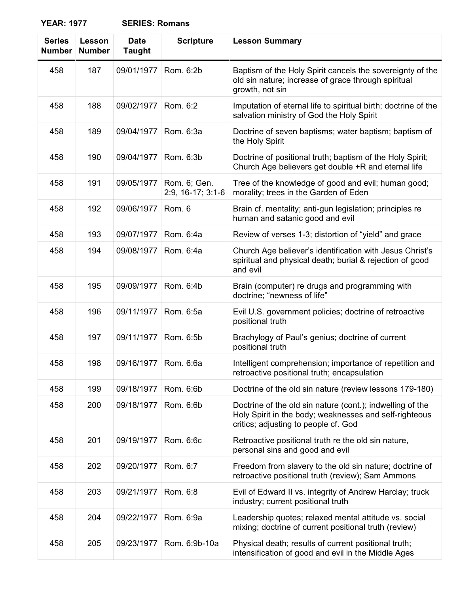| <b>SERIES: Romans</b> |  |
|-----------------------|--|
|-----------------------|--|

| <b>Series</b><br><b>Number</b> | Lesson<br><b>Number</b> | <b>Date</b><br><b>Taught</b> | <b>Scripture</b>                  | <b>Lesson Summary</b>                                                                                                                                       |
|--------------------------------|-------------------------|------------------------------|-----------------------------------|-------------------------------------------------------------------------------------------------------------------------------------------------------------|
| 458                            | 187                     | 09/01/1977                   | Rom. 6:2b                         | Baptism of the Holy Spirit cancels the sovereignty of the<br>old sin nature; increase of grace through spiritual<br>growth, not sin                         |
| 458                            | 188                     | 09/02/1977                   | Rom. 6:2                          | Imputation of eternal life to spiritual birth; doctrine of the<br>salvation ministry of God the Holy Spirit                                                 |
| 458                            | 189                     | 09/04/1977                   | Rom. 6:3a                         | Doctrine of seven baptisms; water baptism; baptism of<br>the Holy Spirit                                                                                    |
| 458                            | 190                     | 09/04/1977                   | Rom. 6:3b                         | Doctrine of positional truth; baptism of the Holy Spirit;<br>Church Age believers get double +R and eternal life                                            |
| 458                            | 191                     | 09/05/1977                   | Rom. 6; Gen.<br>2:9, 16-17; 3:1-6 | Tree of the knowledge of good and evil; human good;<br>morality; trees in the Garden of Eden                                                                |
| 458                            | 192                     | 09/06/1977                   | Rom. 6                            | Brain cf. mentality; anti-gun legislation; principles re<br>human and satanic good and evil                                                                 |
| 458                            | 193                     | 09/07/1977                   | Rom. 6:4a                         | Review of verses 1-3; distortion of "yield" and grace                                                                                                       |
| 458                            | 194                     | 09/08/1977                   | Rom. 6:4a                         | Church Age believer's identification with Jesus Christ's<br>spiritual and physical death; burial & rejection of good<br>and evil                            |
| 458                            | 195                     | 09/09/1977                   | Rom. 6:4b                         | Brain (computer) re drugs and programming with<br>doctrine; "newness of life"                                                                               |
| 458                            | 196                     | 09/11/1977                   | Rom. 6:5a                         | Evil U.S. government policies; doctrine of retroactive<br>positional truth                                                                                  |
| 458                            | 197                     | 09/11/1977                   | Rom. 6:5b                         | Brachylogy of Paul's genius; doctrine of current<br>positional truth                                                                                        |
| 458                            | 198                     | 09/16/1977                   | Rom. 6:6a                         | Intelligent comprehension; importance of repetition and<br>retroactive positional truth; encapsulation                                                      |
| 458                            | 199                     | 09/18/1977                   | Rom. 6:6b                         | Doctrine of the old sin nature (review lessons 179-180)                                                                                                     |
| 458                            | 200                     | 09/18/1977                   | Rom. 6:6b                         | Doctrine of the old sin nature (cont.); indwelling of the<br>Holy Spirit in the body; weaknesses and self-righteous<br>critics; adjusting to people cf. God |
| 458                            | 201                     | 09/19/1977                   | Rom. 6:6c                         | Retroactive positional truth re the old sin nature,<br>personal sins and good and evil                                                                      |
| 458                            | 202                     | 09/20/1977                   | Rom. 6:7                          | Freedom from slavery to the old sin nature; doctrine of<br>retroactive positional truth (review); Sam Ammons                                                |
| 458                            | 203                     | 09/21/1977                   | Rom. 6:8                          | Evil of Edward II vs. integrity of Andrew Harclay; truck<br>industry; current positional truth                                                              |
| 458                            | 204                     | 09/22/1977                   | Rom. 6:9a                         | Leadership quotes; relaxed mental attitude vs. social<br>mixing; doctrine of current positional truth (review)                                              |
| 458                            | 205                     | 09/23/1977                   | Rom. 6:9b-10a                     | Physical death; results of current positional truth;<br>intensification of good and evil in the Middle Ages                                                 |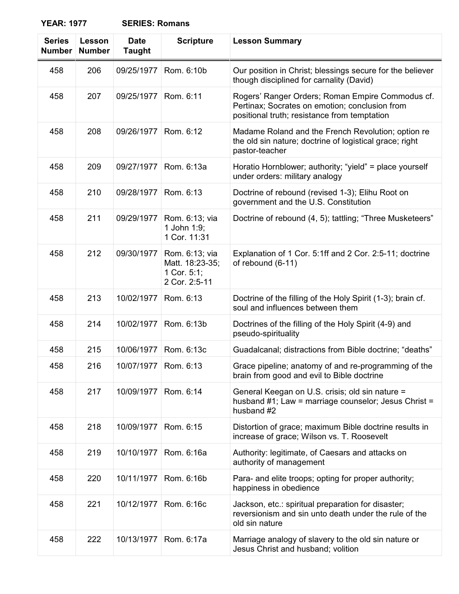| <b>Series</b><br><b>Number</b> | Lesson<br><b>Number</b> | <b>Date</b><br><b>Taught</b> | <b>Scripture</b>                                                  | <b>Lesson Summary</b>                                                                                                                              |
|--------------------------------|-------------------------|------------------------------|-------------------------------------------------------------------|----------------------------------------------------------------------------------------------------------------------------------------------------|
| 458                            | 206                     | 09/25/1977                   | Rom. 6:10b                                                        | Our position in Christ; blessings secure for the believer<br>though disciplined for carnality (David)                                              |
| 458                            | 207                     | 09/25/1977                   | Rom. 6:11                                                         | Rogers' Ranger Orders; Roman Empire Commodus cf.<br>Pertinax; Socrates on emotion; conclusion from<br>positional truth; resistance from temptation |
| 458                            | 208                     | 09/26/1977                   | Rom. 6:12                                                         | Madame Roland and the French Revolution; option re<br>the old sin nature; doctrine of logistical grace; right<br>pastor-teacher                    |
| 458                            | 209                     | 09/27/1977                   | Rom. 6:13a                                                        | Horatio Hornblower; authority; "yield" = place yourself<br>under orders: military analogy                                                          |
| 458                            | 210                     | 09/28/1977                   | Rom. 6:13                                                         | Doctrine of rebound (revised 1-3); Elihu Root on<br>government and the U.S. Constitution                                                           |
| 458                            | 211                     | 09/29/1977                   | Rom. 6:13; via<br>1 John 1:9;<br>1 Cor. 11:31                     | Doctrine of rebound (4, 5); tattling; "Three Musketeers"                                                                                           |
| 458                            | 212                     | 09/30/1977                   | Rom. 6:13; via<br>Matt. 18:23-35;<br>1 Cor. 5:1;<br>2 Cor. 2:5-11 | Explanation of 1 Cor. 5:1ff and 2 Cor. 2:5-11; doctrine<br>of rebound (6-11)                                                                       |
| 458                            | 213                     | 10/02/1977                   | Rom. 6:13                                                         | Doctrine of the filling of the Holy Spirit (1-3); brain cf.<br>soul and influences between them                                                    |
| 458                            | 214                     | 10/02/1977                   | Rom. 6:13b                                                        | Doctrines of the filling of the Holy Spirit (4-9) and<br>pseudo-spirituality                                                                       |
| 458                            | 215                     | 10/06/1977                   | Rom. 6:13c                                                        | Guadalcanal; distractions from Bible doctrine; "deaths"                                                                                            |
| 458                            | 216                     | 10/07/1977   Rom. 6:13       |                                                                   | Grace pipeline; anatomy of and re-programming of the<br>brain from good and evil to Bible doctrine                                                 |
| 458                            | 217                     | 10/09/1977                   | Rom. 6:14                                                         | General Keegan on U.S. crisis; old sin nature =<br>husband #1; Law = marriage counselor; Jesus Christ =<br>husband #2                              |
| 458                            | 218                     | 10/09/1977                   | Rom. 6:15                                                         | Distortion of grace; maximum Bible doctrine results in<br>increase of grace; Wilson vs. T. Roosevelt                                               |
| 458                            | 219                     | 10/10/1977                   | Rom. 6:16a                                                        | Authority: legitimate, of Caesars and attacks on<br>authority of management                                                                        |
| 458                            | 220                     | 10/11/1977                   | Rom. 6:16b                                                        | Para- and elite troops; opting for proper authority;<br>happiness in obedience                                                                     |
| 458                            | 221                     | 10/12/1977                   | Rom. 6:16c                                                        | Jackson, etc.: spiritual preparation for disaster;<br>reversionism and sin unto death under the rule of the<br>old sin nature                      |
| 458                            | 222                     | 10/13/1977                   | Rom. 6:17a                                                        | Marriage analogy of slavery to the old sin nature or<br>Jesus Christ and husband; volition                                                         |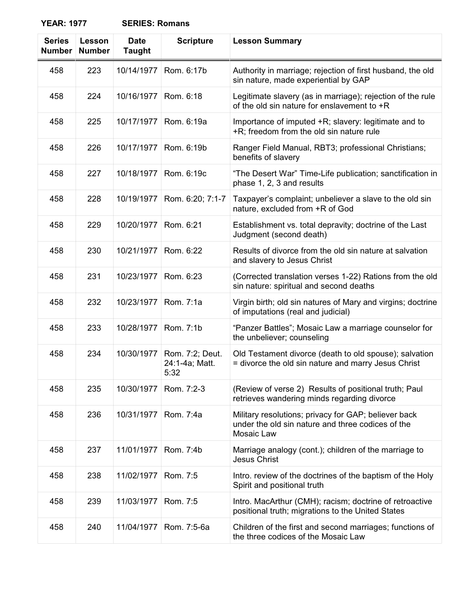| <b>Series</b><br><b>Number</b> | Lesson<br><b>Number</b> | <b>Date</b><br><b>Taught</b> | <b>Scripture</b>                          | <b>Lesson Summary</b>                                                                                                   |
|--------------------------------|-------------------------|------------------------------|-------------------------------------------|-------------------------------------------------------------------------------------------------------------------------|
| 458                            | 223                     | 10/14/1977                   | Rom. 6:17b                                | Authority in marriage; rejection of first husband, the old<br>sin nature, made experiential by GAP                      |
| 458                            | 224                     | 10/16/1977                   | Rom. 6:18                                 | Legitimate slavery (as in marriage); rejection of the rule<br>of the old sin nature for enslavement to +R               |
| 458                            | 225                     | 10/17/1977                   | Rom. 6:19a                                | Importance of imputed +R; slavery: legitimate and to<br>+R; freedom from the old sin nature rule                        |
| 458                            | 226                     | 10/17/1977                   | Rom. 6:19b                                | Ranger Field Manual, RBT3; professional Christians;<br>benefits of slavery                                              |
| 458                            | 227                     | 10/18/1977                   | Rom. 6:19c                                | "The Desert War" Time-Life publication; sanctification in<br>phase 1, 2, 3 and results                                  |
| 458                            | 228                     | 10/19/1977                   | Rom. 6:20; 7:1-7                          | Taxpayer's complaint; unbeliever a slave to the old sin<br>nature, excluded from +R of God                              |
| 458                            | 229                     | 10/20/1977                   | Rom. 6:21                                 | Establishment vs. total depravity; doctrine of the Last<br>Judgment (second death)                                      |
| 458                            | 230                     | 10/21/1977                   | Rom. 6:22                                 | Results of divorce from the old sin nature at salvation<br>and slavery to Jesus Christ                                  |
| 458                            | 231                     | 10/23/1977                   | Rom. 6:23                                 | (Corrected translation verses 1-22) Rations from the old<br>sin nature: spiritual and second deaths                     |
| 458                            | 232                     | 10/23/1977                   | Rom. 7:1a                                 | Virgin birth; old sin natures of Mary and virgins; doctrine<br>of imputations (real and judicial)                       |
| 458                            | 233                     | 10/28/1977                   | Rom. 7:1b                                 | "Panzer Battles"; Mosaic Law a marriage counselor for<br>the unbeliever; counseling                                     |
| 458                            | 234                     | 10/30/1977                   | Rom. 7:2; Deut.<br>24:1-4a; Matt.<br>5:32 | Old Testament divorce (death to old spouse); salvation<br>= divorce the old sin nature and marry Jesus Christ           |
| 458                            | 235                     | 10/30/1977                   | Rom. 7:2-3                                | (Review of verse 2) Results of positional truth; Paul<br>retrieves wandering minds regarding divorce                    |
| 458                            | 236                     | 10/31/1977                   | Rom. 7:4a                                 | Military resolutions; privacy for GAP; believer back<br>under the old sin nature and three codices of the<br>Mosaic Law |
| 458                            | 237                     | 11/01/1977                   | Rom. 7:4b                                 | Marriage analogy (cont.); children of the marriage to<br><b>Jesus Christ</b>                                            |
| 458                            | 238                     | 11/02/1977                   | Rom. 7:5                                  | Intro. review of the doctrines of the baptism of the Holy<br>Spirit and positional truth                                |
| 458                            | 239                     | 11/03/1977                   | Rom. 7:5                                  | Intro. MacArthur (CMH); racism; doctrine of retroactive<br>positional truth; migrations to the United States            |
| 458                            | 240                     | 11/04/1977                   | Rom. 7:5-6a                               | Children of the first and second marriages; functions of<br>the three codices of the Mosaic Law                         |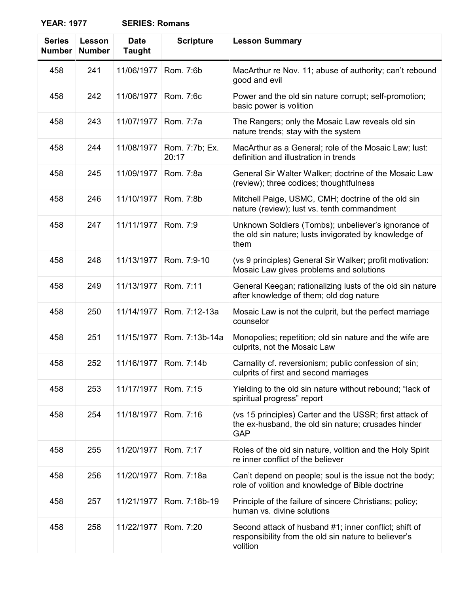| <b>Series</b><br><b>Number</b> | Lesson<br><b>Number</b> | <b>Date</b><br><b>Taught</b> | <b>Scripture</b>        | <b>Lesson Summary</b>                                                                                                        |
|--------------------------------|-------------------------|------------------------------|-------------------------|------------------------------------------------------------------------------------------------------------------------------|
| 458                            | 241                     | 11/06/1977                   | Rom. 7:6b               | MacArthur re Nov. 11; abuse of authority; can't rebound<br>good and evil                                                     |
| 458                            | 242                     | 11/06/1977                   | Rom. 7:6c               | Power and the old sin nature corrupt; self-promotion;<br>basic power is volition                                             |
| 458                            | 243                     | 11/07/1977                   | Rom. 7:7a               | The Rangers; only the Mosaic Law reveals old sin<br>nature trends; stay with the system                                      |
| 458                            | 244                     | 11/08/1977                   | Rom. 7:7b; Ex.<br>20:17 | MacArthur as a General; role of the Mosaic Law; lust:<br>definition and illustration in trends                               |
| 458                            | 245                     | 11/09/1977                   | Rom. 7:8a               | General Sir Walter Walker; doctrine of the Mosaic Law<br>(review); three codices; thoughtfulness                             |
| 458                            | 246                     | 11/10/1977                   | Rom. 7:8b               | Mitchell Paige, USMC, CMH; doctrine of the old sin<br>nature (review); lust vs. tenth commandment                            |
| 458                            | 247                     | 11/11/1977                   | Rom. 7:9                | Unknown Soldiers (Tombs); unbeliever's ignorance of<br>the old sin nature; lusts invigorated by knowledge of<br>them         |
| 458                            | 248                     | 11/13/1977                   | Rom. 7:9-10             | (vs 9 principles) General Sir Walker; profit motivation:<br>Mosaic Law gives problems and solutions                          |
| 458                            | 249                     | 11/13/1977                   | Rom. 7:11               | General Keegan; rationalizing lusts of the old sin nature<br>after knowledge of them; old dog nature                         |
| 458                            | 250                     | 11/14/1977                   | Rom. 7:12-13a           | Mosaic Law is not the culprit, but the perfect marriage<br>counselor                                                         |
| 458                            | 251                     | 11/15/1977                   | Rom. 7:13b-14a          | Monopolies; repetition; old sin nature and the wife are<br>culprits, not the Mosaic Law                                      |
| 458                            | 252                     | 11/16/1977                   | Rom. 7:14b              | Carnality cf. reversionism; public confession of sin;<br>culprits of first and second marriages                              |
| 458                            | 253                     | 11/17/1977                   | Rom. 7:15               | Yielding to the old sin nature without rebound; "lack of<br>spiritual progress" report                                       |
| 458                            | 254                     | 11/18/1977                   | Rom. 7:16               | (vs 15 principles) Carter and the USSR; first attack of<br>the ex-husband, the old sin nature; crusades hinder<br><b>GAP</b> |
| 458                            | 255                     | 11/20/1977                   | Rom. 7:17               | Roles of the old sin nature, volition and the Holy Spirit<br>re inner conflict of the believer                               |
| 458                            | 256                     | 11/20/1977                   | Rom. 7:18a              | Can't depend on people; soul is the issue not the body;<br>role of volition and knowledge of Bible doctrine                  |
| 458                            | 257                     | 11/21/1977                   | Rom. 7:18b-19           | Principle of the failure of sincere Christians; policy;<br>human vs. divine solutions                                        |
| 458                            | 258                     | 11/22/1977                   | Rom. 7:20               | Second attack of husband #1; inner conflict; shift of<br>responsibility from the old sin nature to believer's<br>volition    |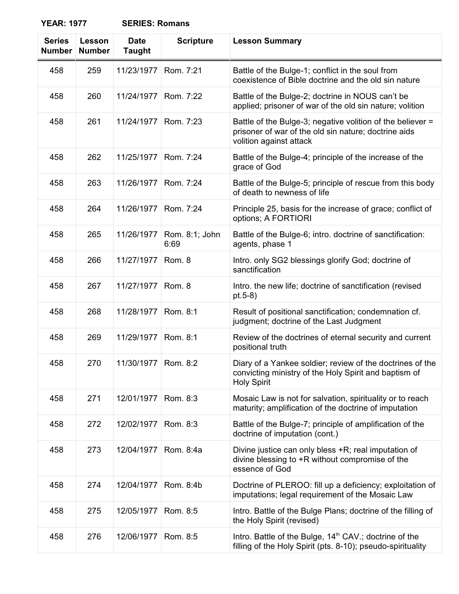| <b>SERIES: Romans</b> |  |
|-----------------------|--|
|-----------------------|--|

| <b>Series</b><br><b>Number</b> | Lesson<br><b>Number</b> | <b>Date</b><br><b>Taught</b> | <b>Scripture</b>       | <b>Lesson Summary</b>                                                                                                                         |
|--------------------------------|-------------------------|------------------------------|------------------------|-----------------------------------------------------------------------------------------------------------------------------------------------|
| 458                            | 259                     | 11/23/1977                   | Rom. 7:21              | Battle of the Bulge-1; conflict in the soul from<br>coexistence of Bible doctrine and the old sin nature                                      |
| 458                            | 260                     | 11/24/1977                   | Rom. 7:22              | Battle of the Bulge-2; doctrine in NOUS can't be<br>applied; prisoner of war of the old sin nature; volition                                  |
| 458                            | 261                     | 11/24/1977                   | Rom. 7:23              | Battle of the Bulge-3; negative volition of the believer =<br>prisoner of war of the old sin nature; doctrine aids<br>volition against attack |
| 458                            | 262                     | 11/25/1977                   | Rom. 7:24              | Battle of the Bulge-4; principle of the increase of the<br>grace of God                                                                       |
| 458                            | 263                     | 11/26/1977                   | Rom. 7:24              | Battle of the Bulge-5; principle of rescue from this body<br>of death to newness of life                                                      |
| 458                            | 264                     | 11/26/1977                   | Rom. 7:24              | Principle 25, basis for the increase of grace; conflict of<br>options; A FORTIORI                                                             |
| 458                            | 265                     | 11/26/1977                   | Rom. 8:1; John<br>6:69 | Battle of the Bulge-6; intro. doctrine of sanctification:<br>agents, phase 1                                                                  |
| 458                            | 266                     | 11/27/1977                   | Rom. 8                 | Intro. only SG2 blessings glorify God; doctrine of<br>sanctification                                                                          |
| 458                            | 267                     | 11/27/1977                   | Rom. 8                 | Intro. the new life; doctrine of sanctification (revised<br>$pt.5-8)$                                                                         |
| 458                            | 268                     | 11/28/1977                   | Rom. 8:1               | Result of positional sanctification; condemnation cf.<br>judgment; doctrine of the Last Judgment                                              |
| 458                            | 269                     | 11/29/1977                   | Rom. 8:1               | Review of the doctrines of eternal security and current<br>positional truth                                                                   |
| 458                            | 270                     | 11/30/1977                   | Rom. 8:2               | Diary of a Yankee soldier; review of the doctrines of the<br>convicting ministry of the Holy Spirit and baptism of<br><b>Holy Spirit</b>      |
| 458                            | 271                     | 12/01/1977                   | Rom. 8:3               | Mosaic Law is not for salvation, spirituality or to reach<br>maturity; amplification of the doctrine of imputation                            |
| 458                            | 272                     | 12/02/1977                   | Rom. 8:3               | Battle of the Bulge-7; principle of amplification of the<br>doctrine of imputation (cont.)                                                    |
| 458                            | 273                     | 12/04/1977                   | Rom. 8:4a              | Divine justice can only bless +R; real imputation of<br>divine blessing to +R without compromise of the<br>essence of God                     |
| 458                            | 274                     | 12/04/1977                   | Rom. 8:4b              | Doctrine of PLEROO: fill up a deficiency; exploitation of<br>imputations; legal requirement of the Mosaic Law                                 |
| 458                            | 275                     | 12/05/1977                   | Rom. 8:5               | Intro. Battle of the Bulge Plans; doctrine of the filling of<br>the Holy Spirit (revised)                                                     |
| 458                            | 276                     | 12/06/1977                   | Rom. 8:5               | Intro. Battle of the Bulge, 14 <sup>th</sup> CAV.; doctrine of the<br>filling of the Holy Spirit (pts. 8-10); pseudo-spirituality             |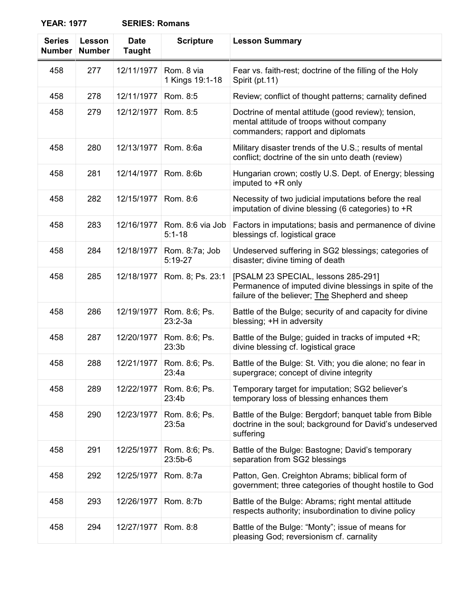| <b>Series</b><br><b>Number</b> | Lesson<br><b>Number</b> | <b>Date</b><br><b>Taught</b> | <b>Scripture</b>               | <b>Lesson Summary</b>                                                                                                                            |
|--------------------------------|-------------------------|------------------------------|--------------------------------|--------------------------------------------------------------------------------------------------------------------------------------------------|
| 458                            | 277                     | 12/11/1977                   | Rom. 8 via<br>1 Kings 19:1-18  | Fear vs. faith-rest; doctrine of the filling of the Holy<br>Spirit (pt.11)                                                                       |
| 458                            | 278                     | 12/11/1977                   | Rom. 8:5                       | Review; conflict of thought patterns; carnality defined                                                                                          |
| 458                            | 279                     | 12/12/1977                   | Rom. 8:5                       | Doctrine of mental attitude (good review); tension,<br>mental attitude of troops without company<br>commanders; rapport and diplomats            |
| 458                            | 280                     | 12/13/1977                   | Rom. 8:6a                      | Military disaster trends of the U.S.; results of mental<br>conflict; doctrine of the sin unto death (review)                                     |
| 458                            | 281                     | 12/14/1977                   | Rom. 8:6b                      | Hungarian crown; costly U.S. Dept. of Energy; blessing<br>imputed to +R only                                                                     |
| 458                            | 282                     | 12/15/1977                   | Rom. 8:6                       | Necessity of two judicial imputations before the real<br>imputation of divine blessing (6 categories) to $+R$                                    |
| 458                            | 283                     | 12/16/1977                   | Rom. 8:6 via Job<br>$5:1 - 18$ | Factors in imputations; basis and permanence of divine<br>blessings cf. logistical grace                                                         |
| 458                            | 284                     | 12/18/1977                   | Rom. 8:7a; Job<br>$5:19-27$    | Undeserved suffering in SG2 blessings; categories of<br>disaster; divine timing of death                                                         |
| 458                            | 285                     | 12/18/1977                   | Rom. 8; Ps. 23:1               | [PSALM 23 SPECIAL, lessons 285-291]<br>Permanence of imputed divine blessings in spite of the<br>failure of the believer; The Shepherd and sheep |
| 458                            | 286                     | 12/19/1977                   | Rom. 8:6; Ps.<br>$23:2-3a$     | Battle of the Bulge; security of and capacity for divine<br>blessing; +H in adversity                                                            |
| 458                            | 287                     | 12/20/1977                   | Rom. 8:6; Ps.<br>23:3b         | Battle of the Bulge; guided in tracks of imputed +R;<br>divine blessing cf. logistical grace                                                     |
| 458                            | 288                     | 12/21/1977                   | Rom. 8:6; Ps.<br>23:4a         | Battle of the Bulge: St. Vith; you die alone; no fear in<br>supergrace; concept of divine integrity                                              |
| 458                            | 289                     | 12/22/1977                   | Rom. 8:6; Ps.<br>23:4b         | Temporary target for imputation; SG2 believer's<br>temporary loss of blessing enhances them                                                      |
| 458                            | 290                     | 12/23/1977                   | Rom. 8:6; Ps.<br>23:5a         | Battle of the Bulge: Bergdorf; banquet table from Bible<br>doctrine in the soul; background for David's undeserved<br>suffering                  |
| 458                            | 291                     | 12/25/1977                   | Rom. 8:6; Ps.<br>$23:5b-6$     | Battle of the Bulge: Bastogne; David's temporary<br>separation from SG2 blessings                                                                |
| 458                            | 292                     | 12/25/1977                   | Rom. 8:7a                      | Patton, Gen. Creighton Abrams; biblical form of<br>government; three categories of thought hostile to God                                        |
| 458                            | 293                     | 12/26/1977                   | Rom. 8:7b                      | Battle of the Bulge: Abrams; right mental attitude<br>respects authority; insubordination to divine policy                                       |
| 458                            | 294                     | 12/27/1977                   | Rom. 8:8                       | Battle of the Bulge: "Monty"; issue of means for<br>pleasing God; reversionism cf. carnality                                                     |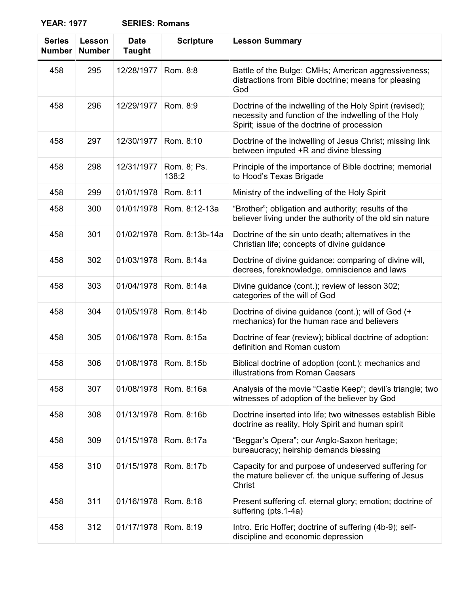| <b>Series</b><br><b>Number</b> | Lesson<br><b>Number</b> | <b>Date</b><br><b>Taught</b> | <b>Scripture</b>     | <b>Lesson Summary</b>                                                                                                                                           |
|--------------------------------|-------------------------|------------------------------|----------------------|-----------------------------------------------------------------------------------------------------------------------------------------------------------------|
| 458                            | 295                     | 12/28/1977                   | Rom. 8:8             | Battle of the Bulge: CMHs; American aggressiveness;<br>distractions from Bible doctrine; means for pleasing<br>God                                              |
| 458                            | 296                     | 12/29/1977                   | Rom. 8:9             | Doctrine of the indwelling of the Holy Spirit (revised);<br>necessity and function of the indwelling of the Holy<br>Spirit; issue of the doctrine of procession |
| 458                            | 297                     | 12/30/1977                   | Rom. 8:10            | Doctrine of the indwelling of Jesus Christ; missing link<br>between imputed +R and divine blessing                                                              |
| 458                            | 298                     | 12/31/1977                   | Rom. 8; Ps.<br>138:2 | Principle of the importance of Bible doctrine; memorial<br>to Hood's Texas Brigade                                                                              |
| 458                            | 299                     | 01/01/1978                   | Rom. 8:11            | Ministry of the indwelling of the Holy Spirit                                                                                                                   |
| 458                            | 300                     | 01/01/1978                   | Rom. 8:12-13a        | "Brother"; obligation and authority; results of the<br>believer living under the authority of the old sin nature                                                |
| 458                            | 301                     | 01/02/1978                   | Rom. 8:13b-14a       | Doctrine of the sin unto death; alternatives in the<br>Christian life; concepts of divine guidance                                                              |
| 458                            | 302                     | 01/03/1978                   | Rom. 8:14a           | Doctrine of divine guidance: comparing of divine will,<br>decrees, foreknowledge, omniscience and laws                                                          |
| 458                            | 303                     | 01/04/1978                   | Rom. 8:14a           | Divine guidance (cont.); review of lesson 302;<br>categories of the will of God                                                                                 |
| 458                            | 304                     | 01/05/1978                   | Rom. 8:14b           | Doctrine of divine guidance (cont.); will of God (+<br>mechanics) for the human race and believers                                                              |
| 458                            | 305                     | 01/06/1978                   | Rom. 8:15a           | Doctrine of fear (review); biblical doctrine of adoption:<br>definition and Roman custom                                                                        |
| 458                            | 306                     | 01/08/1978                   | Rom. 8:15b           | Biblical doctrine of adoption (cont.): mechanics and<br>illustrations from Roman Caesars                                                                        |
| 458                            | 307                     | 01/08/1978                   | Rom. 8:16a           | Analysis of the movie "Castle Keep"; devil's triangle; two<br>witnesses of adoption of the believer by God                                                      |
| 458                            | 308                     | 01/13/1978                   | Rom. 8:16b           | Doctrine inserted into life; two witnesses establish Bible<br>doctrine as reality, Holy Spirit and human spirit                                                 |
| 458                            | 309                     | 01/15/1978                   | Rom. 8:17a           | "Beggar's Opera"; our Anglo-Saxon heritage;<br>bureaucracy; heirship demands blessing                                                                           |
| 458                            | 310                     | 01/15/1978                   | Rom. 8:17b           | Capacity for and purpose of undeserved suffering for<br>the mature believer cf. the unique suffering of Jesus<br>Christ                                         |
| 458                            | 311                     | 01/16/1978                   | Rom. 8:18            | Present suffering cf. eternal glory; emotion; doctrine of<br>suffering (pts.1-4a)                                                                               |
| 458                            | 312                     | 01/17/1978                   | Rom. 8:19            | Intro. Eric Hoffer; doctrine of suffering (4b-9); self-<br>discipline and economic depression                                                                   |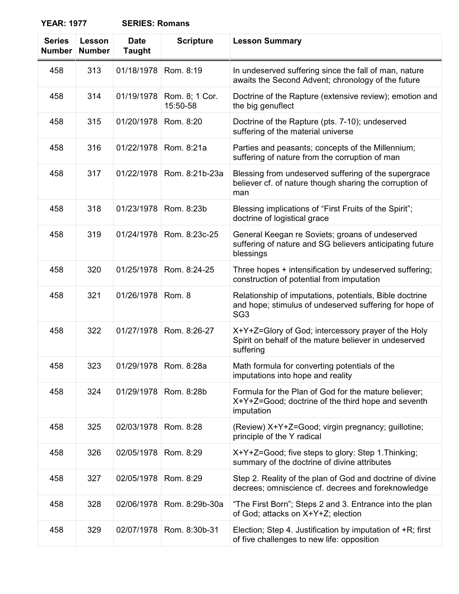| <b>Series</b><br><b>Number</b> | Lesson<br><b>Number</b> | <b>Date</b><br><b>Taught</b> | <b>Scripture</b>           | <b>Lesson Summary</b>                                                                                                                |
|--------------------------------|-------------------------|------------------------------|----------------------------|--------------------------------------------------------------------------------------------------------------------------------------|
| 458                            | 313                     | 01/18/1978                   | Rom. 8:19                  | In undeserved suffering since the fall of man, nature<br>awaits the Second Advent; chronology of the future                          |
| 458                            | 314                     | 01/19/1978                   | Rom. 8; 1 Cor.<br>15:50-58 | Doctrine of the Rapture (extensive review); emotion and<br>the big genuflect                                                         |
| 458                            | 315                     | 01/20/1978                   | Rom. 8:20                  | Doctrine of the Rapture (pts. 7-10); undeserved<br>suffering of the material universe                                                |
| 458                            | 316                     | 01/22/1978                   | Rom. 8:21a                 | Parties and peasants; concepts of the Millennium;<br>suffering of nature from the corruption of man                                  |
| 458                            | 317                     | 01/22/1978                   | Rom. 8:21b-23a             | Blessing from undeserved suffering of the supergrace<br>believer cf. of nature though sharing the corruption of<br>man               |
| 458                            | 318                     | 01/23/1978                   | Rom. 8:23b                 | Blessing implications of "First Fruits of the Spirit";<br>doctrine of logistical grace                                               |
| 458                            | 319                     | 01/24/1978                   | Rom. 8:23c-25              | General Keegan re Soviets; groans of undeserved<br>suffering of nature and SG believers anticipating future<br>blessings             |
| 458                            | 320                     | 01/25/1978                   | Rom. 8:24-25               | Three hopes + intensification by undeserved suffering;<br>construction of potential from imputation                                  |
| 458                            | 321                     | 01/26/1978                   | Rom. 8                     | Relationship of imputations, potentials, Bible doctrine<br>and hope; stimulus of undeserved suffering for hope of<br>SG <sub>3</sub> |
| 458                            | 322                     | 01/27/1978                   | Rom. 8:26-27               | X+Y+Z=Glory of God; intercessory prayer of the Holy<br>Spirit on behalf of the mature believer in undeserved<br>suffering            |
| 458                            | 323                     |                              | 01/29/1978   Rom. 8:28a    | Math formula for converting potentials of the<br>imputations into hope and reality                                                   |
| 458                            | 324                     | 01/29/1978                   | Rom. 8:28b                 | Formula for the Plan of God for the mature believer;<br>X+Y+Z=Good; doctrine of the third hope and seventh<br>imputation             |
| 458                            | 325                     | 02/03/1978                   | Rom. 8:28                  | (Review) X+Y+Z=Good; virgin pregnancy; guillotine;<br>principle of the Y radical                                                     |
| 458                            | 326                     | 02/05/1978                   | Rom. 8:29                  | X+Y+Z=Good; five steps to glory: Step 1. Thinking;<br>summary of the doctrine of divine attributes                                   |
| 458                            | 327                     | 02/05/1978                   | Rom. 8:29                  | Step 2. Reality of the plan of God and doctrine of divine<br>decrees; omniscience cf. decrees and foreknowledge                      |
| 458                            | 328                     | 02/06/1978                   | Rom. 8:29b-30a             | "The First Born"; Steps 2 and 3. Entrance into the plan<br>of God; attacks on X+Y+Z; election                                        |
| 458                            | 329                     | 02/07/1978                   | Rom. 8:30b-31              | Election; Step 4. Justification by imputation of +R; first<br>of five challenges to new life: opposition                             |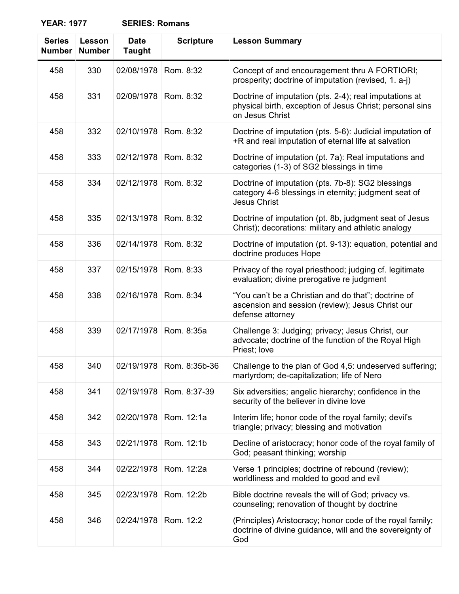| <b>Series</b><br><b>Number</b> | Lesson<br><b>Number</b> | <b>Date</b><br><b>Taught</b> | <b>Scripture</b>         | <b>Lesson Summary</b>                                                                                                                 |
|--------------------------------|-------------------------|------------------------------|--------------------------|---------------------------------------------------------------------------------------------------------------------------------------|
| 458                            | 330                     | 02/08/1978                   | Rom. 8:32                | Concept of and encouragement thru A FORTIORI;<br>prosperity; doctrine of imputation (revised, 1. a-j)                                 |
| 458                            | 331                     | 02/09/1978                   | Rom. 8:32                | Doctrine of imputation (pts. 2-4); real imputations at<br>physical birth, exception of Jesus Christ; personal sins<br>on Jesus Christ |
| 458                            | 332                     | 02/10/1978                   | Rom. 8:32                | Doctrine of imputation (pts. 5-6): Judicial imputation of<br>+R and real imputation of eternal life at salvation                      |
| 458                            | 333                     | 02/12/1978                   | Rom. 8:32                | Doctrine of imputation (pt. 7a): Real imputations and<br>categories (1-3) of SG2 blessings in time                                    |
| 458                            | 334                     | 02/12/1978                   | Rom. 8:32                | Doctrine of imputation (pts. 7b-8): SG2 blessings<br>category 4-6 blessings in eternity; judgment seat of<br><b>Jesus Christ</b>      |
| 458                            | 335                     | 02/13/1978                   | Rom. 8:32                | Doctrine of imputation (pt. 8b, judgment seat of Jesus<br>Christ); decorations: military and athletic analogy                         |
| 458                            | 336                     | 02/14/1978                   | Rom. 8:32                | Doctrine of imputation (pt. 9-13): equation, potential and<br>doctrine produces Hope                                                  |
| 458                            | 337                     | 02/15/1978                   | Rom. 8:33                | Privacy of the royal priesthood; judging cf. legitimate<br>evaluation; divine prerogative re judgment                                 |
| 458                            | 338                     | 02/16/1978                   | Rom. 8:34                | "You can't be a Christian and do that"; doctrine of<br>ascension and session (review); Jesus Christ our<br>defense attorney           |
| 458                            | 339                     | 02/17/1978                   | Rom. 8:35a               | Challenge 3: Judging; privacy; Jesus Christ, our<br>advocate; doctrine of the function of the Royal High<br>Priest; love              |
| 458                            | 340                     |                              | 02/19/1978 Rom. 8:35b-36 | Challenge to the plan of God 4,5: undeserved suffering:<br>martyrdom; de-capitalization; life of Nero                                 |
| 458                            | 341                     | 02/19/1978                   | Rom. 8:37-39             | Six adversities; angelic hierarchy; confidence in the<br>security of the believer in divine love                                      |
| 458                            | 342                     | 02/20/1978                   | Rom. 12:1a               | Interim life; honor code of the royal family; devil's<br>triangle; privacy; blessing and motivation                                   |
| 458                            | 343                     | 02/21/1978                   | Rom. 12:1b               | Decline of aristocracy; honor code of the royal family of<br>God; peasant thinking; worship                                           |
| 458                            | 344                     | 02/22/1978                   | Rom. 12:2a               | Verse 1 principles; doctrine of rebound (review);<br>worldliness and molded to good and evil                                          |
| 458                            | 345                     | 02/23/1978                   | Rom. 12:2b               | Bible doctrine reveals the will of God; privacy vs.<br>counseling; renovation of thought by doctrine                                  |
| 458                            | 346                     | 02/24/1978                   | Rom. 12:2                | (Principles) Aristocracy; honor code of the royal family;<br>doctrine of divine guidance, will and the sovereignty of<br>God          |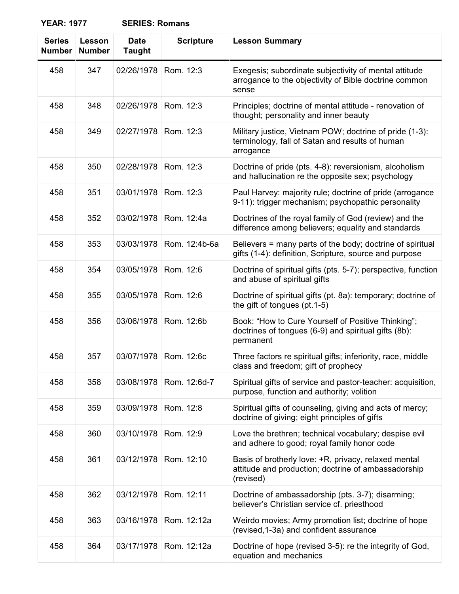| <b>SERIES: Romans</b> |  |
|-----------------------|--|
|-----------------------|--|

| <b>Series</b><br><b>Number</b> | Lesson<br><b>Number</b> | <b>Date</b><br><b>Taught</b> | <b>Scripture</b> | <b>Lesson Summary</b>                                                                                                    |
|--------------------------------|-------------------------|------------------------------|------------------|--------------------------------------------------------------------------------------------------------------------------|
| 458                            | 347                     | 02/26/1978                   | Rom. 12:3        | Exegesis; subordinate subjectivity of mental attitude<br>arrogance to the objectivity of Bible doctrine common<br>sense  |
| 458                            | 348                     | 02/26/1978                   | Rom. 12:3        | Principles; doctrine of mental attitude - renovation of<br>thought; personality and inner beauty                         |
| 458                            | 349                     | 02/27/1978                   | Rom. 12:3        | Military justice, Vietnam POW; doctrine of pride (1-3):<br>terminology, fall of Satan and results of human<br>arrogance  |
| 458                            | 350                     | 02/28/1978                   | Rom. 12:3        | Doctrine of pride (pts. 4-8): reversionism, alcoholism<br>and hallucination re the opposite sex; psychology              |
| 458                            | 351                     | 03/01/1978                   | Rom. 12:3        | Paul Harvey: majority rule; doctrine of pride (arrogance<br>9-11): trigger mechanism; psychopathic personality           |
| 458                            | 352                     | 03/02/1978                   | Rom. 12:4a       | Doctrines of the royal family of God (review) and the<br>difference among believers; equality and standards              |
| 458                            | 353                     | 03/03/1978                   | Rom. 12:4b-6a    | Believers = many parts of the body; doctrine of spiritual<br>gifts (1-4): definition, Scripture, source and purpose      |
| 458                            | 354                     | 03/05/1978                   | Rom. 12:6        | Doctrine of spiritual gifts (pts. 5-7); perspective, function<br>and abuse of spiritual gifts                            |
| 458                            | 355                     | 03/05/1978                   | Rom. 12:6        | Doctrine of spiritual gifts (pt. 8a): temporary; doctrine of<br>the gift of tongues (pt.1-5)                             |
| 458                            | 356                     | 03/06/1978                   | Rom. 12:6b       | Book: "How to Cure Yourself of Positive Thinking";<br>doctrines of tongues (6-9) and spiritual gifts (8b):<br>permanent  |
| 458                            | 357                     | 03/07/1978                   | Rom. 12:6c       | Three factors re spiritual gifts; inferiority, race, middle<br>class and freedom; gift of prophecy                       |
| 458                            | 358                     | 03/08/1978                   | Rom. 12:6d-7     | Spiritual gifts of service and pastor-teacher: acquisition,<br>purpose, function and authority; volition                 |
| 458                            | 359                     | 03/09/1978                   | Rom. 12:8        | Spiritual gifts of counseling, giving and acts of mercy;<br>doctrine of giving; eight principles of gifts                |
| 458                            | 360                     | 03/10/1978                   | Rom. 12:9        | Love the brethren; technical vocabulary; despise evil<br>and adhere to good; royal family honor code                     |
| 458                            | 361                     | 03/12/1978                   | Rom. 12:10       | Basis of brotherly love: +R, privacy, relaxed mental<br>attitude and production; doctrine of ambassadorship<br>(revised) |
| 458                            | 362                     | 03/12/1978                   | Rom. 12:11       | Doctrine of ambassadorship (pts. 3-7); disarming;<br>believer's Christian service cf. priesthood                         |
| 458                            | 363                     | 03/16/1978                   | Rom. 12:12a      | Weirdo movies; Army promotion list; doctrine of hope<br>(revised, 1-3a) and confident assurance                          |
| 458                            | 364                     | 03/17/1978                   | Rom. 12:12a      | Doctrine of hope (revised 3-5): re the integrity of God,<br>equation and mechanics                                       |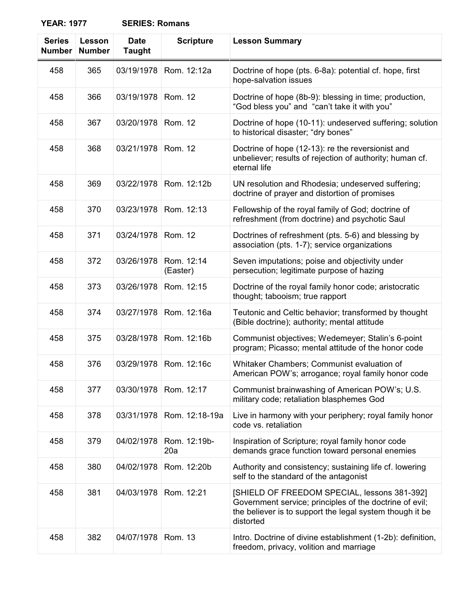| <b>Series</b><br><b>Number</b> | Lesson<br><b>Number</b> | <b>Date</b><br><b>Taught</b> | <b>Scripture</b>       | <b>Lesson Summary</b>                                                                                                                                                            |
|--------------------------------|-------------------------|------------------------------|------------------------|----------------------------------------------------------------------------------------------------------------------------------------------------------------------------------|
| 458                            | 365                     | 03/19/1978                   | Rom. 12:12a            | Doctrine of hope (pts. 6-8a): potential cf. hope, first<br>hope-salvation issues                                                                                                 |
| 458                            | 366                     | 03/19/1978                   | Rom. 12                | Doctrine of hope (8b-9): blessing in time; production,<br>"God bless you" and "can't take it with you"                                                                           |
| 458                            | 367                     | 03/20/1978                   | Rom. 12                | Doctrine of hope (10-11): undeserved suffering; solution<br>to historical disaster; "dry bones"                                                                                  |
| 458                            | 368                     | 03/21/1978                   | Rom. 12                | Doctrine of hope (12-13): re the reversionist and<br>unbeliever; results of rejection of authority; human cf.<br>eternal life                                                    |
| 458                            | 369                     | 03/22/1978                   | Rom. 12:12b            | UN resolution and Rhodesia; undeserved suffering;<br>doctrine of prayer and distortion of promises                                                                               |
| 458                            | 370                     | 03/23/1978                   | Rom. 12:13             | Fellowship of the royal family of God; doctrine of<br>refreshment (from doctrine) and psychotic Saul                                                                             |
| 458                            | 371                     | 03/24/1978                   | Rom. 12                | Doctrines of refreshment (pts. 5-6) and blessing by<br>association (pts. 1-7); service organizations                                                                             |
| 458                            | 372                     | 03/26/1978                   | Rom. 12:14<br>(Easter) | Seven imputations; poise and objectivity under<br>persecution; legitimate purpose of hazing                                                                                      |
| 458                            | 373                     | 03/26/1978                   | Rom. 12:15             | Doctrine of the royal family honor code; aristocratic<br>thought; tabooism; true rapport                                                                                         |
| 458                            | 374                     | 03/27/1978                   | Rom. 12:16a            | Teutonic and Celtic behavior; transformed by thought<br>(Bible doctrine); authority; mental attitude                                                                             |
| 458                            | 375                     | 03/28/1978                   | Rom. 12:16b            | Communist objectives; Wedemeyer; Stalin's 6-point<br>program; Picasso; mental attitude of the honor code                                                                         |
| 458                            | 376                     | 03/29/1978                   | Rom. 12:16c            | Whitaker Chambers; Communist evaluation of<br>American POW's; arrogance; royal family honor code                                                                                 |
| 458                            | 377                     | 03/30/1978                   | Rom. 12:17             | Communist brainwashing of American POW's; U.S.<br>military code; retaliation blasphemes God                                                                                      |
| 458                            | 378                     | 03/31/1978                   | Rom. 12:18-19a         | Live in harmony with your periphery; royal family honor<br>code vs. retaliation                                                                                                  |
| 458                            | 379                     | 04/02/1978                   | Rom. 12:19b-<br>20a    | Inspiration of Scripture; royal family honor code<br>demands grace function toward personal enemies                                                                              |
| 458                            | 380                     | 04/02/1978                   | Rom. 12:20b            | Authority and consistency; sustaining life cf. lowering<br>self to the standard of the antagonist                                                                                |
| 458                            | 381                     | 04/03/1978                   | Rom. 12:21             | [SHIELD OF FREEDOM SPECIAL, lessons 381-392]<br>Government service; principles of the doctrine of evil;<br>the believer is to support the legal system though it be<br>distorted |
| 458                            | 382                     | 04/07/1978                   | Rom. 13                | Intro. Doctrine of divine establishment (1-2b): definition,<br>freedom, privacy, volition and marriage                                                                           |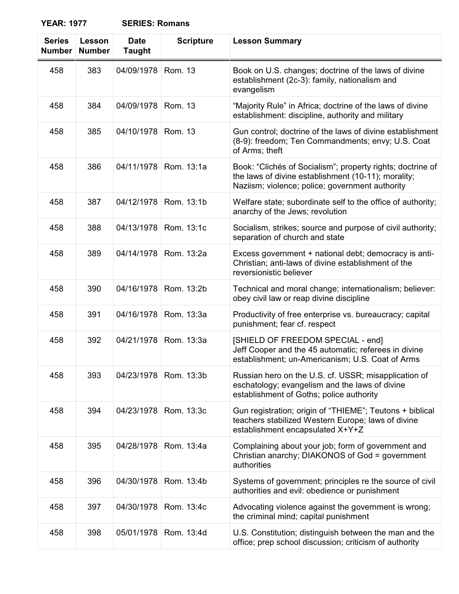| <b>Series</b><br><b>Number</b> | Lesson<br><b>Number</b> | <b>Date</b><br><b>Taught</b> | <b>Scripture</b> | <b>Lesson Summary</b>                                                                                                                                                |
|--------------------------------|-------------------------|------------------------------|------------------|----------------------------------------------------------------------------------------------------------------------------------------------------------------------|
| 458                            | 383                     | 04/09/1978                   | Rom. 13          | Book on U.S. changes; doctrine of the laws of divine<br>establishment (2c-3): family, nationalism and<br>evangelism                                                  |
| 458                            | 384                     | 04/09/1978                   | Rom. 13          | "Majority Rule" in Africa; doctrine of the laws of divine<br>establishment: discipline, authority and military                                                       |
| 458                            | 385                     | 04/10/1978                   | Rom. 13          | Gun control; doctrine of the laws of divine establishment<br>(8-9): freedom; Ten Commandments; envy; U.S. Coat<br>of Arms; theft                                     |
| 458                            | 386                     | 04/11/1978                   | Rom. 13:1a       | Book: "Clichés of Socialism"; property rights; doctrine of<br>the laws of divine establishment (10-11); morality;<br>Naziism; violence; police; government authority |
| 458                            | 387                     | 04/12/1978                   | Rom. 13:1b       | Welfare state; subordinate self to the office of authority;<br>anarchy of the Jews; revolution                                                                       |
| 458                            | 388                     | 04/13/1978                   | Rom. 13:1c       | Socialism, strikes; source and purpose of civil authority;<br>separation of church and state                                                                         |
| 458                            | 389                     | 04/14/1978                   | Rom. 13:2a       | Excess government + national debt; democracy is anti-<br>Christian; anti-laws of divine establishment of the<br>reversionistic believer                              |
| 458                            | 390                     | 04/16/1978                   | Rom. 13:2b       | Technical and moral change; internationalism; believer:<br>obey civil law or reap divine discipline                                                                  |
| 458                            | 391                     | 04/16/1978                   | Rom. 13:3a       | Productivity of free enterprise vs. bureaucracy; capital<br>punishment; fear cf. respect                                                                             |
| 458                            | 392                     | 04/21/1978                   | Rom. 13:3a       | [SHIELD OF FREEDOM SPECIAL - end]<br>Jeff Cooper and the 45 automatic; referees in divine<br>establishment; un-Americanism; U.S. Coat of Arms                        |
| 458                            | 393                     | 04/23/1978                   | Rom. 13:3b       | Russian hero on the U.S. cf. USSR; misapplication of<br>eschatology; evangelism and the laws of divine<br>establishment of Goths; police authority                   |
| 458                            | 394                     | 04/23/1978                   | Rom. 13:3c       | Gun registration; origin of "THIEME"; Teutons + biblical<br>teachers stabilized Western Europe; laws of divine<br>establishment encapsulated X+Y+Z                   |
| 458                            | 395                     | 04/28/1978                   | Rom. 13:4a       | Complaining about your job; form of government and<br>Christian anarchy; DIAKONOS of God = government<br>authorities                                                 |
| 458                            | 396                     | 04/30/1978                   | Rom. 13:4b       | Systems of government; principles re the source of civil<br>authorities and evil: obedience or punishment                                                            |
| 458                            | 397                     | 04/30/1978                   | Rom. 13:4c       | Advocating violence against the government is wrong;<br>the criminal mind; capital punishment                                                                        |
| 458                            | 398                     | 05/01/1978                   | Rom. 13:4d       | U.S. Constitution; distinguish between the man and the<br>office; prep school discussion; criticism of authority                                                     |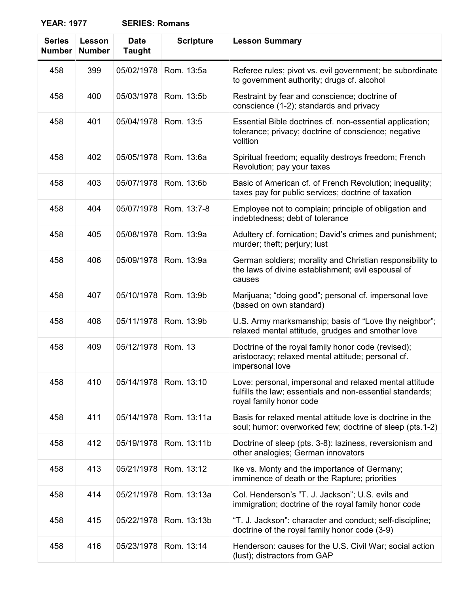| <b>SERIES: Romans</b> |
|-----------------------|
|                       |

| <b>Series</b><br><b>Number</b> | Lesson<br><b>Number</b> | <b>Date</b><br><b>Taught</b> | <b>Scripture</b> | <b>Lesson Summary</b>                                                                                                                          |
|--------------------------------|-------------------------|------------------------------|------------------|------------------------------------------------------------------------------------------------------------------------------------------------|
| 458                            | 399                     | 05/02/1978                   | Rom. 13:5a       | Referee rules; pivot vs. evil government; be subordinate<br>to government authority; drugs cf. alcohol                                         |
| 458                            | 400                     | 05/03/1978                   | Rom. 13:5b       | Restraint by fear and conscience; doctrine of<br>conscience (1-2); standards and privacy                                                       |
| 458                            | 401                     | 05/04/1978                   | Rom. 13:5        | Essential Bible doctrines cf. non-essential application;<br>tolerance; privacy; doctrine of conscience; negative<br>volition                   |
| 458                            | 402                     | 05/05/1978                   | Rom. 13:6a       | Spiritual freedom; equality destroys freedom; French<br>Revolution; pay your taxes                                                             |
| 458                            | 403                     | 05/07/1978                   | Rom. 13:6b       | Basic of American cf. of French Revolution; inequality;<br>taxes pay for public services; doctrine of taxation                                 |
| 458                            | 404                     | 05/07/1978                   | Rom. 13:7-8      | Employee not to complain; principle of obligation and<br>indebtedness; debt of tolerance                                                       |
| 458                            | 405                     | 05/08/1978                   | Rom. 13:9a       | Adultery cf. fornication; David's crimes and punishment;<br>murder; theft; perjury; lust                                                       |
| 458                            | 406                     | 05/09/1978                   | Rom. 13:9a       | German soldiers; morality and Christian responsibility to<br>the laws of divine establishment; evil espousal of<br>causes                      |
| 458                            | 407                     | 05/10/1978                   | Rom. 13:9b       | Marijuana; "doing good"; personal cf. impersonal love<br>(based on own standard)                                                               |
| 458                            | 408                     | 05/11/1978                   | Rom. 13:9b       | U.S. Army marksmanship; basis of "Love thy neighbor";<br>relaxed mental attitude, grudges and smother love                                     |
| 458                            | 409                     | 05/12/1978                   | <b>Rom. 13</b>   | Doctrine of the royal family honor code (revised);<br>aristocracy; relaxed mental attitude; personal cf.<br>impersonal love                    |
| 458                            | 410                     | 05/14/1978                   | Rom. 13:10       | Love: personal, impersonal and relaxed mental attitude<br>fulfills the law; essentials and non-essential standards;<br>royal family honor code |
| 458                            | 411                     | 05/14/1978                   | Rom. 13:11a      | Basis for relaxed mental attitude love is doctrine in the<br>soul; humor: overworked few; doctrine of sleep (pts.1-2)                          |
| 458                            | 412                     | 05/19/1978                   | Rom. 13:11b      | Doctrine of sleep (pts. 3-8): laziness, reversionism and<br>other analogies; German innovators                                                 |
| 458                            | 413                     | 05/21/1978                   | Rom. 13:12       | Ike vs. Monty and the importance of Germany;<br>imminence of death or the Rapture; priorities                                                  |
| 458                            | 414                     | 05/21/1978                   | Rom. 13:13a      | Col. Henderson's "T. J. Jackson"; U.S. evils and<br>immigration; doctrine of the royal family honor code                                       |
| 458                            | 415                     | 05/22/1978                   | Rom. 13:13b      | "T. J. Jackson": character and conduct; self-discipline;<br>doctrine of the royal family honor code (3-9)                                      |
| 458                            | 416                     | 05/23/1978                   | Rom. 13:14       | Henderson: causes for the U.S. Civil War; social action<br>(lust); distractors from GAP                                                        |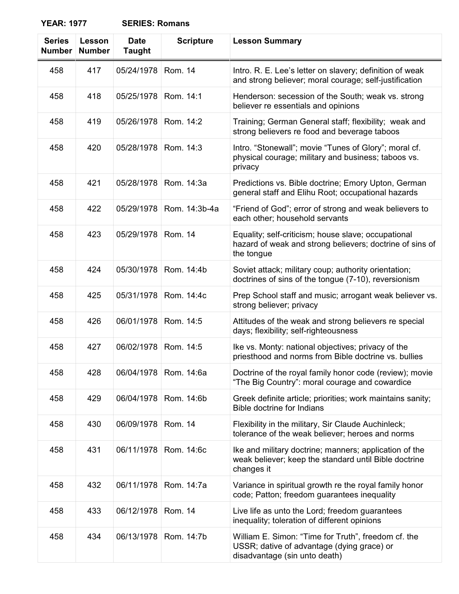| <b>SERIES: Romans</b> |  |
|-----------------------|--|
|-----------------------|--|

| <b>Series</b><br><b>Number</b> | Lesson<br><b>Number</b> | <b>Date</b><br><b>Taught</b> | <b>Scripture</b> | <b>Lesson Summary</b>                                                                                                              |
|--------------------------------|-------------------------|------------------------------|------------------|------------------------------------------------------------------------------------------------------------------------------------|
| 458                            | 417                     | 05/24/1978                   | Rom. 14          | Intro. R. E. Lee's letter on slavery; definition of weak<br>and strong believer; moral courage; self-justification                 |
| 458                            | 418                     | 05/25/1978                   | Rom. 14:1        | Henderson: secession of the South; weak vs. strong<br>believer re essentials and opinions                                          |
| 458                            | 419                     | 05/26/1978                   | Rom. 14:2        | Training; German General staff; flexibility; weak and<br>strong believers re food and beverage taboos                              |
| 458                            | 420                     | 05/28/1978                   | Rom. 14:3        | Intro. "Stonewall"; movie "Tunes of Glory"; moral cf.<br>physical courage; military and business; taboos vs.<br>privacy            |
| 458                            | 421                     | 05/28/1978                   | Rom. 14:3a       | Predictions vs. Bible doctrine; Emory Upton, German<br>general staff and Elihu Root; occupational hazards                          |
| 458                            | 422                     | 05/29/1978                   | Rom. 14:3b-4a    | "Friend of God"; error of strong and weak believers to<br>each other; household servants                                           |
| 458                            | 423                     | 05/29/1978                   | Rom. 14          | Equality; self-criticism; house slave; occupational<br>hazard of weak and strong believers; doctrine of sins of<br>the tongue      |
| 458                            | 424                     | 05/30/1978                   | Rom. 14:4b       | Soviet attack; military coup; authority orientation;<br>doctrines of sins of the tongue (7-10), reversionism                       |
| 458                            | 425                     | 05/31/1978                   | Rom. 14:4c       | Prep School staff and music; arrogant weak believer vs.<br>strong believer; privacy                                                |
| 458                            | 426                     | 06/01/1978                   | Rom. 14:5        | Attitudes of the weak and strong believers re special<br>days; flexibility; self-righteousness                                     |
| 458                            | 427                     | 06/02/1978                   | Rom. 14:5        | Ike vs. Monty: national objectives; privacy of the<br>priesthood and norms from Bible doctrine vs. bullies                         |
| 458                            | 428                     | 06/04/1978                   | Rom. 14:6a       | Doctrine of the royal family honor code (review); movie<br>"The Big Country": moral courage and cowardice                          |
| 458                            | 429                     | 06/04/1978                   | Rom. 14:6b       | Greek definite article; priorities; work maintains sanity;<br><b>Bible doctrine for Indians</b>                                    |
| 458                            | 430                     | 06/09/1978                   | Rom. 14          | Flexibility in the military, Sir Claude Auchinleck;<br>tolerance of the weak believer; heroes and norms                            |
| 458                            | 431                     | 06/11/1978                   | Rom. 14:6c       | Ike and military doctrine; manners; application of the<br>weak believer; keep the standard until Bible doctrine<br>changes it      |
| 458                            | 432                     | 06/11/1978                   | Rom. 14:7a       | Variance in spiritual growth re the royal family honor<br>code; Patton; freedom guarantees inequality                              |
| 458                            | 433                     | 06/12/1978                   | Rom. 14          | Live life as unto the Lord; freedom guarantees<br>inequality; toleration of different opinions                                     |
| 458                            | 434                     | 06/13/1978                   | Rom. 14:7b       | William E. Simon: "Time for Truth", freedom cf. the<br>USSR; dative of advantage (dying grace) or<br>disadvantage (sin unto death) |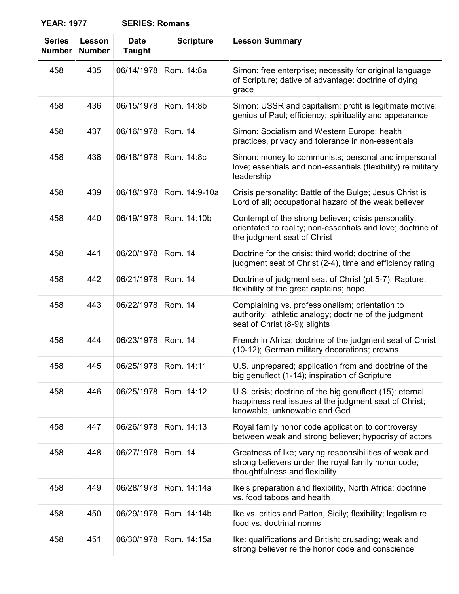| <b>Series</b><br><b>Number</b> | Lesson<br><b>Number</b> | <b>Date</b><br><b>Taught</b> | <b>Scripture</b>        | <b>Lesson Summary</b>                                                                                                                              |
|--------------------------------|-------------------------|------------------------------|-------------------------|----------------------------------------------------------------------------------------------------------------------------------------------------|
| 458                            | 435                     | 06/14/1978                   | Rom. 14:8a              | Simon: free enterprise; necessity for original language<br>of Scripture; dative of advantage: doctrine of dying<br>grace                           |
| 458                            | 436                     | 06/15/1978                   | Rom. 14:8b              | Simon: USSR and capitalism; profit is legitimate motive;<br>genius of Paul; efficiency; spirituality and appearance                                |
| 458                            | 437                     | 06/16/1978                   | Rom. 14                 | Simon: Socialism and Western Europe; health<br>practices, privacy and tolerance in non-essentials                                                  |
| 458                            | 438                     | 06/18/1978                   | Rom. 14:8c              | Simon: money to communists; personal and impersonal<br>love; essentials and non-essentials (flexibility) re military<br>leadership                 |
| 458                            | 439                     | 06/18/1978                   | Rom. 14:9-10a           | Crisis personality; Battle of the Bulge; Jesus Christ is<br>Lord of all; occupational hazard of the weak believer                                  |
| 458                            | 440                     | 06/19/1978                   | Rom. 14:10b             | Contempt of the strong believer; crisis personality,<br>orientated to reality; non-essentials and love; doctrine of<br>the judgment seat of Christ |
| 458                            | 441                     | 06/20/1978                   | Rom. 14                 | Doctrine for the crisis; third world; doctrine of the<br>judgment seat of Christ (2-4), time and efficiency rating                                 |
| 458                            | 442                     | 06/21/1978                   | Rom. 14                 | Doctrine of judgment seat of Christ (pt.5-7); Rapture;<br>flexibility of the great captains; hope                                                  |
| 458                            | 443                     | 06/22/1978                   | Rom. 14                 | Complaining vs. professionalism; orientation to<br>authority; athletic analogy; doctrine of the judgment<br>seat of Christ (8-9); slights          |
| 458                            | 444                     | 06/23/1978                   | Rom. 14                 | French in Africa; doctrine of the judgment seat of Christ<br>(10-12); German military decorations; crowns                                          |
| 458                            | 445                     |                              | 06/25/1978   Rom. 14:11 | U.S. unprepared; application from and doctrine of the<br>big genuflect (1-14); inspiration of Scripture                                            |
| 458                            | 446                     | 06/25/1978                   | Rom. 14:12              | U.S. crisis; doctrine of the big genuflect (15): eternal<br>happiness real issues at the judgment seat of Christ;<br>knowable, unknowable and God  |
| 458                            | 447                     | 06/26/1978                   | Rom. 14:13              | Royal family honor code application to controversy<br>between weak and strong believer; hypocrisy of actors                                        |
| 458                            | 448                     | 06/27/1978                   | Rom. 14                 | Greatness of Ike; varying responsibilities of weak and<br>strong believers under the royal family honor code;<br>thoughtfulness and flexibility    |
| 458                            | 449                     | 06/28/1978                   | Rom. 14:14a             | Ike's preparation and flexibility, North Africa; doctrine<br>vs. food taboos and health                                                            |
| 458                            | 450                     | 06/29/1978                   | Rom. 14:14b             | Ike vs. critics and Patton, Sicily; flexibility; legalism re<br>food vs. doctrinal norms                                                           |
| 458                            | 451                     | 06/30/1978                   | Rom. 14:15a             | Ike: qualifications and British; crusading; weak and<br>strong believer re the honor code and conscience                                           |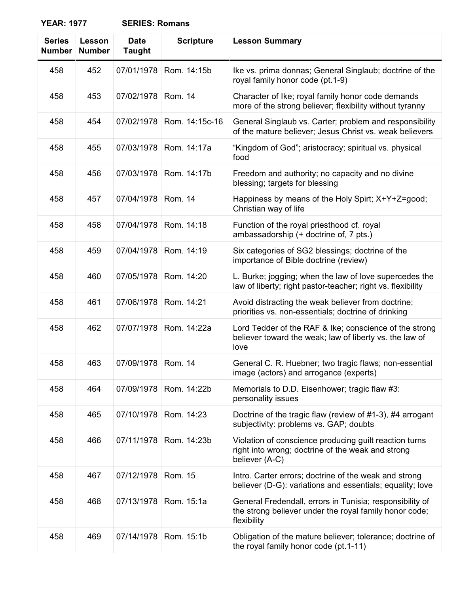| <b>Series</b><br><b>Number</b> | Lesson<br><b>Number</b> | <b>Date</b><br><b>Taught</b> | <b>Scripture</b> | <b>Lesson Summary</b>                                                                                                             |
|--------------------------------|-------------------------|------------------------------|------------------|-----------------------------------------------------------------------------------------------------------------------------------|
| 458                            | 452                     | 07/01/1978                   | Rom. 14:15b      | Ike vs. prima donnas; General Singlaub; doctrine of the<br>royal family honor code (pt.1-9)                                       |
| 458                            | 453                     | 07/02/1978                   | <b>Rom. 14</b>   | Character of Ike; royal family honor code demands<br>more of the strong believer; flexibility without tyranny                     |
| 458                            | 454                     | 07/02/1978                   | Rom. 14:15c-16   | General Singlaub vs. Carter; problem and responsibility<br>of the mature believer; Jesus Christ vs. weak believers                |
| 458                            | 455                     | 07/03/1978                   | Rom. 14:17a      | "Kingdom of God"; aristocracy; spiritual vs. physical<br>food                                                                     |
| 458                            | 456                     | 07/03/1978                   | Rom. 14:17b      | Freedom and authority; no capacity and no divine<br>blessing; targets for blessing                                                |
| 458                            | 457                     | 07/04/1978                   | <b>Rom. 14</b>   | Happiness by means of the Holy Spirt; X+Y+Z=good;<br>Christian way of life                                                        |
| 458                            | 458                     | 07/04/1978                   | Rom. 14:18       | Function of the royal priesthood cf. royal<br>ambassadorship (+ doctrine of, 7 pts.)                                              |
| 458                            | 459                     | 07/04/1978                   | Rom. 14:19       | Six categories of SG2 blessings; doctrine of the<br>importance of Bible doctrine (review)                                         |
| 458                            | 460                     | 07/05/1978                   | Rom. 14:20       | L. Burke; jogging; when the law of love supercedes the<br>law of liberty; right pastor-teacher; right vs. flexibility             |
| 458                            | 461                     | 07/06/1978                   | Rom. 14:21       | Avoid distracting the weak believer from doctrine;<br>priorities vs. non-essentials; doctrine of drinking                         |
| 458                            | 462                     | 07/07/1978                   | Rom. 14:22a      | Lord Tedder of the RAF & Ike; conscience of the strong<br>believer toward the weak; law of liberty vs. the law of<br>love         |
| 458                            | 463                     | 07/09/1978                   | Rom. 14          | General C. R. Huebner; two tragic flaws; non-essential<br>image (actors) and arrogance (experts)                                  |
| 458                            | 464                     | 07/09/1978                   | Rom. 14:22b      | Memorials to D.D. Eisenhower; tragic flaw #3:<br>personality issues                                                               |
| 458                            | 465                     | 07/10/1978                   | Rom. 14:23       | Doctrine of the tragic flaw (review of #1-3), #4 arrogant<br>subjectivity: problems vs. GAP; doubts                               |
| 458                            | 466                     | 07/11/1978                   | Rom. 14:23b      | Violation of conscience producing guilt reaction turns<br>right into wrong; doctrine of the weak and strong<br>believer (A-C)     |
| 458                            | 467                     | 07/12/1978                   | <b>Rom. 15</b>   | Intro. Carter errors; doctrine of the weak and strong<br>believer (D-G): variations and essentials; equality; love                |
| 458                            | 468                     | 07/13/1978                   | Rom. 15:1a       | General Fredendall, errors in Tunisia; responsibility of<br>the strong believer under the royal family honor code;<br>flexibility |
| 458                            | 469                     | 07/14/1978                   | Rom. 15:1b       | Obligation of the mature believer; tolerance; doctrine of<br>the royal family honor code (pt.1-11)                                |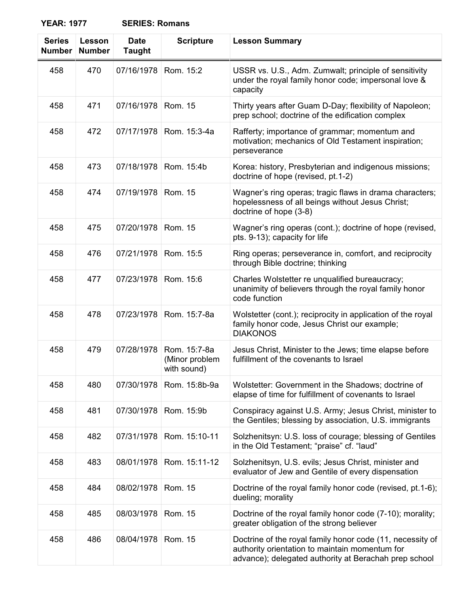| ILAN. IJII                     |                         | בוזובט. וזטווומווס           |                                               |                                                                                                                                       |
|--------------------------------|-------------------------|------------------------------|-----------------------------------------------|---------------------------------------------------------------------------------------------------------------------------------------|
| <b>Series</b><br><b>Number</b> | Lesson<br><b>Number</b> | <b>Date</b><br><b>Taught</b> | <b>Scripture</b>                              | <b>Lesson Summary</b>                                                                                                                 |
| 458                            | 470                     | 07/16/1978                   | Rom. 15:2                                     | USSR vs. U.S., Adm. Zumwalt; principle of sensitivity<br>under the royal family honor code; impersonal love &<br>capacity             |
| 458                            | 471                     | 07/16/1978                   | Rom. 15                                       | Thirty years after Guam D-Day; flexibility of Napoleon;<br>prep school; doctrine of the edification complex                           |
| 458                            | 472                     | 07/17/1978                   | Rom. 15:3-4a                                  | Rafferty; importance of grammar; momentum and<br>motivation; mechanics of Old Testament inspiration;<br>perseverance                  |
| 458                            | 473                     | 07/18/1978                   | Rom. 15:4b                                    | Korea: history, Presbyterian and indigenous missions;<br>doctrine of hope (revised, pt.1-2)                                           |
| 458                            | 474                     | 07/19/1978                   | Rom. 15                                       | Wagner's ring operas; tragic flaws in drama characters;<br>hopelessness of all beings without Jesus Christ;<br>doctrine of hope (3-8) |
| 458                            | 475                     | 07/20/1978                   | Rom. 15                                       | Wagner's ring operas (cont.); doctrine of hope (revised,<br>pts. 9-13); capacity for life                                             |
| 458                            | 476                     | 07/21/1978                   | Rom. 15:5                                     | Ring operas; perseverance in, comfort, and reciprocity<br>through Bible doctrine; thinking                                            |
| 458                            | 477                     | 07/23/1978                   | Rom. 15:6                                     | Charles Wolstetter re unqualified bureaucracy;<br>unanimity of believers through the royal family honor<br>code function              |
| 458                            | 478                     | 07/23/1978                   | Rom. 15:7-8a                                  | Wolstetter (cont.); reciprocity in application of the royal<br>family honor code, Jesus Christ our example;<br><b>DIAKONOS</b>        |
| 458                            | 479                     | 07/28/1978                   | Rom. 15:7-8a<br>(Minor problem<br>with sound) | Jesus Christ, Minister to the Jews; time elapse before<br>fulfillment of the covenants to Israel                                      |
| 458                            | 480                     | 07/30/1978                   | Rom. 15:8b-9a                                 | Wolstetter: Government in the Shadows; doctrine of<br>elapse of time for fulfillment of covenants to Israel                           |
| 458                            | 481                     | 07/30/1978                   | Rom. 15:9b                                    | Conspiracy against U.S. Army; Jesus Christ, minister to<br>the Gentiles; blessing by association, U.S. immigrants                     |
| 458                            | 482                     | 07/31/1978                   | Rom. 15:10-11                                 | Solzhenitsyn: U.S. loss of courage; blessing of Gentiles<br>in the Old Testament; "praise" cf. "laud"                                 |

| 458 | 485 | 08/03/1978   Rom. 15 | Doctrine of the royal family honor code (7-10); morality;<br>greater obligation of the strong believer                                                               |
|-----|-----|----------------------|----------------------------------------------------------------------------------------------------------------------------------------------------------------------|
| 458 | 486 | 08/04/1978 Rom. 15   | Doctrine of the royal family honor code (11, necessity of<br>authority orientation to maintain momentum for<br>advance); delegated authority at Berachah prep school |

458 | 484 | 08/02/1978 | Rom. 15 | Doctrine of the royal family honor code (revised, pt.1-6);

dueling; morality

458 | 483 | 08/01/1978 | Rom. 15:11-12 | Solzhenitsyn, U.S. evils; Jesus Christ, minister and

evaluator of Jew and Gentile of every dispensation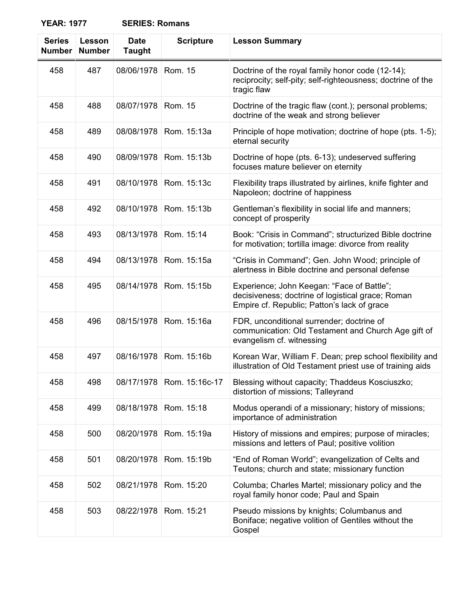| <b>Series</b><br><b>Number</b> | Lesson<br><b>Number</b> | <b>Date</b><br><b>Taught</b> | <b>Scripture</b> | <b>Lesson Summary</b>                                                                                                                          |
|--------------------------------|-------------------------|------------------------------|------------------|------------------------------------------------------------------------------------------------------------------------------------------------|
| 458                            | 487                     | 08/06/1978                   | Rom. 15          | Doctrine of the royal family honor code (12-14);<br>reciprocity; self-pity; self-righteousness; doctrine of the<br>tragic flaw                 |
| 458                            | 488                     | 08/07/1978                   | Rom. 15          | Doctrine of the tragic flaw (cont.); personal problems;<br>doctrine of the weak and strong believer                                            |
| 458                            | 489                     | 08/08/1978                   | Rom. 15:13a      | Principle of hope motivation; doctrine of hope (pts. 1-5);<br>eternal security                                                                 |
| 458                            | 490                     | 08/09/1978                   | Rom. 15:13b      | Doctrine of hope (pts. 6-13); undeserved suffering<br>focuses mature believer on eternity                                                      |
| 458                            | 491                     | 08/10/1978                   | Rom. 15:13c      | Flexibility traps illustrated by airlines, knife fighter and<br>Napoleon; doctrine of happiness                                                |
| 458                            | 492                     | 08/10/1978                   | Rom. 15:13b      | Gentleman's flexibility in social life and manners;<br>concept of prosperity                                                                   |
| 458                            | 493                     | 08/13/1978                   | Rom. 15:14       | Book: "Crisis in Command"; structurized Bible doctrine<br>for motivation; tortilla image: divorce from reality                                 |
| 458                            | 494                     | 08/13/1978                   | Rom. 15:15a      | "Crisis in Command"; Gen. John Wood; principle of<br>alertness in Bible doctrine and personal defense                                          |
| 458                            | 495                     | 08/14/1978                   | Rom. 15:15b      | Experience; John Keegan: "Face of Battle";<br>decisiveness; doctrine of logistical grace; Roman<br>Empire cf. Republic; Patton's lack of grace |
| 458                            | 496                     | 08/15/1978                   | Rom. 15:16a      | FDR, unconditional surrender; doctrine of<br>communication: Old Testament and Church Age gift of<br>evangelism cf. witnessing                  |
| 458                            | 497                     | 08/16/1978                   | Rom. 15:16b      | Korean War, William F. Dean; prep school flexibility and<br>illustration of Old Testament priest use of training aids                          |
| 458                            | 498                     | 08/17/1978                   | Rom. 15:16c-17   | Blessing without capacity; Thaddeus Kosciuszko;<br>distortion of missions; Talleyrand                                                          |
| 458                            | 499                     | 08/18/1978                   | Rom. 15:18       | Modus operandi of a missionary; history of missions;<br>importance of administration                                                           |
| 458                            | 500                     | 08/20/1978                   | Rom. 15:19a      | History of missions and empires; purpose of miracles;<br>missions and letters of Paul; positive volition                                       |
| 458                            | 501                     | 08/20/1978                   | Rom. 15:19b      | "End of Roman World"; evangelization of Celts and<br>Teutons; church and state; missionary function                                            |
| 458                            | 502                     | 08/21/1978                   | Rom. 15:20       | Columba; Charles Martel; missionary policy and the<br>royal family honor code; Paul and Spain                                                  |
| 458                            | 503                     | 08/22/1978                   | Rom. 15:21       | Pseudo missions by knights; Columbanus and<br>Boniface; negative volition of Gentiles without the<br>Gospel                                    |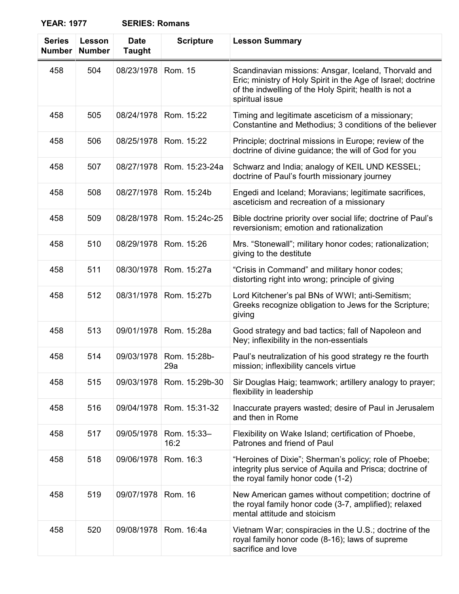| <b>SERIES: Romans</b> |  |
|-----------------------|--|
|-----------------------|--|

| <b>Series</b><br><b>Number</b> | Lesson<br><b>Number</b> | <b>Date</b><br><b>Taught</b> | <b>Scripture</b>    | <b>Lesson Summary</b>                                                                                                                                                                            |
|--------------------------------|-------------------------|------------------------------|---------------------|--------------------------------------------------------------------------------------------------------------------------------------------------------------------------------------------------|
| 458                            | 504                     | 08/23/1978                   | Rom. 15             | Scandinavian missions: Ansgar, Iceland, Thorvald and<br>Eric; ministry of Holy Spirit in the Age of Israel; doctrine<br>of the indwelling of the Holy Spirit; health is not a<br>spiritual issue |
| 458                            | 505                     | 08/24/1978                   | Rom. 15:22          | Timing and legitimate asceticism of a missionary;<br>Constantine and Methodius; 3 conditions of the believer                                                                                     |
| 458                            | 506                     | 08/25/1978                   | Rom. 15:22          | Principle; doctrinal missions in Europe; review of the<br>doctrine of divine guidance; the will of God for you                                                                                   |
| 458                            | 507                     | 08/27/1978                   | Rom. 15:23-24a      | Schwarz and India; analogy of KEIL UND KESSEL;<br>doctrine of Paul's fourth missionary journey                                                                                                   |
| 458                            | 508                     | 08/27/1978                   | Rom. 15:24b         | Engedi and Iceland; Moravians; legitimate sacrifices,<br>asceticism and recreation of a missionary                                                                                               |
| 458                            | 509                     | 08/28/1978                   | Rom. 15:24c-25      | Bible doctrine priority over social life; doctrine of Paul's<br>reversionism; emotion and rationalization                                                                                        |
| 458                            | 510                     | 08/29/1978                   | Rom. 15:26          | Mrs. "Stonewall"; military honor codes; rationalization;<br>giving to the destitute                                                                                                              |
| 458                            | 511                     | 08/30/1978                   | Rom. 15:27a         | "Crisis in Command" and military honor codes;<br>distorting right into wrong; principle of giving                                                                                                |
| 458                            | 512                     | 08/31/1978                   | Rom. 15:27b         | Lord Kitchener's pal BNs of WWI; anti-Semitism;<br>Greeks recognize obligation to Jews for the Scripture;<br>giving                                                                              |
| 458                            | 513                     | 09/01/1978                   | Rom. 15:28a         | Good strategy and bad tactics; fall of Napoleon and<br>Ney; inflexibility in the non-essentials                                                                                                  |
| 458                            | 514                     | 09/03/1978                   | Rom. 15:28b-<br>29a | Paul's neutralization of his good strategy re the fourth<br>mission; inflexibility cancels virtue                                                                                                |
| 458                            | 515                     | 09/03/1978                   | Rom. 15:29b-30      | Sir Douglas Haig; teamwork; artillery analogy to prayer;<br>flexibility in leadership                                                                                                            |
| 458                            | 516                     | 09/04/1978                   | Rom. 15:31-32       | Inaccurate prayers wasted; desire of Paul in Jerusalem<br>and then in Rome                                                                                                                       |
| 458                            | 517                     | 09/05/1978                   | Rom. 15:33-<br>16:2 | Flexibility on Wake Island; certification of Phoebe,<br>Patrones and friend of Paul                                                                                                              |
| 458                            | 518                     | 09/06/1978                   | Rom. 16:3           | "Heroines of Dixie"; Sherman's policy; role of Phoebe;<br>integrity plus service of Aquila and Prisca; doctrine of<br>the royal family honor code (1-2)                                          |
| 458                            | 519                     | 09/07/1978                   | Rom. 16             | New American games without competition; doctrine of<br>the royal family honor code (3-7, amplified); relaxed<br>mental attitude and stoicism                                                     |
| 458                            | 520                     | 09/08/1978                   | Rom. 16:4a          | Vietnam War; conspiracies in the U.S.; doctrine of the<br>royal family honor code (8-16); laws of supreme<br>sacrifice and love                                                                  |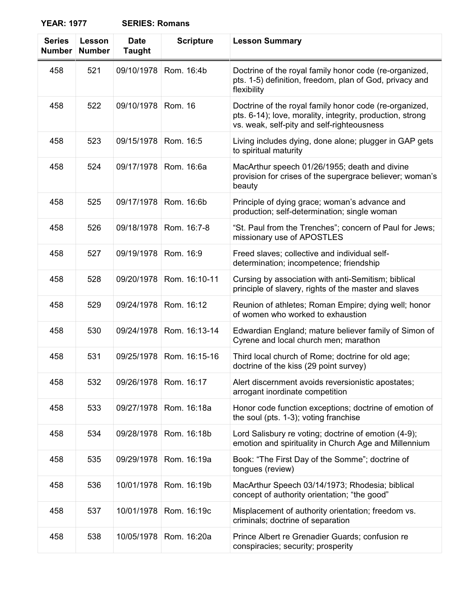| <b>SERIES: Romans</b> |  |
|-----------------------|--|
|-----------------------|--|

| <b>Series</b><br><b>Number</b> | Lesson<br><b>Number</b> | <b>Date</b><br><b>Taught</b> | <b>Scripture</b> | <b>Lesson Summary</b>                                                                                                                                             |
|--------------------------------|-------------------------|------------------------------|------------------|-------------------------------------------------------------------------------------------------------------------------------------------------------------------|
| 458                            | 521                     | 09/10/1978                   | Rom. 16:4b       | Doctrine of the royal family honor code (re-organized,<br>pts. 1-5) definition, freedom, plan of God, privacy and<br>flexibility                                  |
| 458                            | 522                     | 09/10/1978                   | Rom. 16          | Doctrine of the royal family honor code (re-organized,<br>pts. 6-14); love, morality, integrity, production, strong<br>vs. weak, self-pity and self-righteousness |
| 458                            | 523                     | 09/15/1978                   | Rom. 16:5        | Living includes dying, done alone; plugger in GAP gets<br>to spiritual maturity                                                                                   |
| 458                            | 524                     | 09/17/1978                   | Rom. 16:6a       | MacArthur speech 01/26/1955; death and divine<br>provision for crises of the supergrace believer; woman's<br>beauty                                               |
| 458                            | 525                     | 09/17/1978                   | Rom. 16:6b       | Principle of dying grace; woman's advance and<br>production; self-determination; single woman                                                                     |
| 458                            | 526                     | 09/18/1978                   | Rom. 16:7-8      | "St. Paul from the Trenches"; concern of Paul for Jews;<br>missionary use of APOSTLES                                                                             |
| 458                            | 527                     | 09/19/1978                   | Rom. 16:9        | Freed slaves; collective and individual self-<br>determination; incompetence; friendship                                                                          |
| 458                            | 528                     | 09/20/1978                   | Rom. 16:10-11    | Cursing by association with anti-Semitism; biblical<br>principle of slavery, rights of the master and slaves                                                      |
| 458                            | 529                     | 09/24/1978                   | Rom. 16:12       | Reunion of athletes; Roman Empire; dying well; honor<br>of women who worked to exhaustion                                                                         |
| 458                            | 530                     | 09/24/1978                   | Rom. 16:13-14    | Edwardian England; mature believer family of Simon of<br>Cyrene and local church men; marathon                                                                    |
| 458                            | 531                     | 09/25/1978                   | Rom. 16:15-16    | Third local church of Rome; doctrine for old age;<br>doctrine of the kiss (29 point survey)                                                                       |
| 458                            | 532                     | 09/26/1978                   | Rom. 16:17       | Alert discernment avoids reversionistic apostates;<br>arrogant inordinate competition                                                                             |
| 458                            | 533                     | 09/27/1978                   | Rom. 16:18a      | Honor code function exceptions; doctrine of emotion of<br>the soul (pts. 1-3); voting franchise                                                                   |
| 458                            | 534                     | 09/28/1978                   | Rom. 16:18b      | Lord Salisbury re voting; doctrine of emotion (4-9);<br>emotion and spirituality in Church Age and Millennium                                                     |
| 458                            | 535                     | 09/29/1978                   | Rom. 16:19a      | Book: "The First Day of the Somme"; doctrine of<br>tongues (review)                                                                                               |
| 458                            | 536                     | 10/01/1978                   | Rom. 16:19b      | MacArthur Speech 03/14/1973; Rhodesia; biblical<br>concept of authority orientation; "the good"                                                                   |
| 458                            | 537                     | 10/01/1978                   | Rom. 16:19c      | Misplacement of authority orientation; freedom vs.<br>criminals; doctrine of separation                                                                           |
| 458                            | 538                     | 10/05/1978                   | Rom. 16:20a      | Prince Albert re Grenadier Guards; confusion re<br>conspiracies; security; prosperity                                                                             |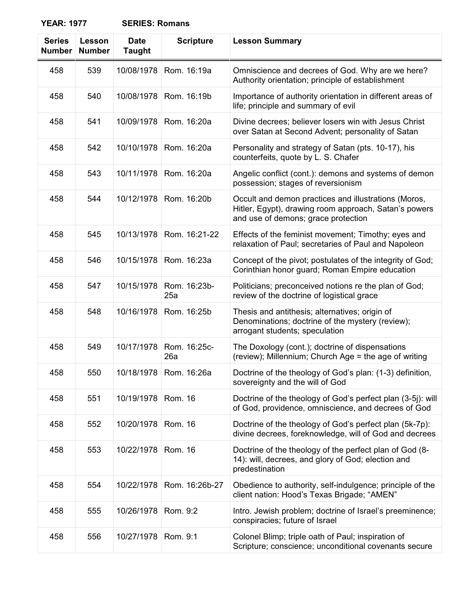| <b>SERIES: Romans</b> |
|-----------------------|
|-----------------------|

| <b>Series</b><br><b>Number</b> | Lesson<br><b>Number</b> | <b>Date</b><br><b>Taught</b> | <b>Scripture</b>    | <b>Lesson Summary</b>                                                                                                                                |
|--------------------------------|-------------------------|------------------------------|---------------------|------------------------------------------------------------------------------------------------------------------------------------------------------|
| 458                            | 539                     | 10/08/1978                   | Rom. 16:19a         | Omniscience and decrees of God. Why are we here?<br>Authority orientation; principle of establishment                                                |
| 458                            | 540                     | 10/08/1978                   | Rom. 16:19b         | Importance of authority orientation in different areas of<br>life; principle and summary of evil                                                     |
| 458                            | 541                     | 10/09/1978                   | Rom. 16:20a         | Divine decrees; believer losers win with Jesus Christ<br>over Satan at Second Advent; personality of Satan                                           |
| 458                            | 542                     | 10/10/1978                   | Rom. 16:20a         | Personality and strategy of Satan (pts. 10-17), his<br>counterfeits, quote by L. S. Chafer                                                           |
| 458                            | 543                     | 10/11/1978                   | Rom. 16:20a         | Angelic conflict (cont.): demons and systems of demon<br>possession; stages of reversionism                                                          |
| 458                            | 544                     | 10/12/1978                   | Rom. 16:20b         | Occult and demon practices and illustrations (Moros,<br>Hitler, Egypt), drawing room approach, Satan's powers<br>and use of demons; grace protection |
| 458                            | 545                     | 10/13/1978                   | Rom. 16:21-22       | Effects of the feminist movement; Timothy; eyes and<br>relaxation of Paul; secretaries of Paul and Napoleon                                          |
| 458                            | 546                     | 10/15/1978                   | Rom. 16:23a         | Concept of the pivot; postulates of the integrity of God;<br>Corinthian honor guard; Roman Empire education                                          |
| 458                            | 547                     | 10/15/1978                   | Rom. 16:23b-<br>25a | Politicians; preconceived notions re the plan of God;<br>review of the doctrine of logistical grace                                                  |
| 458                            | 548                     | 10/16/1978                   | Rom. 16:25b         | Thesis and antithesis; alternatives; origin of<br>Denominations; doctrine of the mystery (review);<br>arrogant students; speculation                 |
| 458                            | 549                     | 10/17/1978                   | Rom. 16:25c-<br>26a | The Doxology (cont.); doctrine of dispensations<br>(review); Millennium; Church Age = the age of writing                                             |
| 458                            | 550                     | 10/18/1978                   | Rom. 16:26a         | Doctrine of the theology of God's plan: (1-3) definition,<br>sovereignty and the will of God                                                         |
| 458                            | 551                     | 10/19/1978                   | Rom. 16             | Doctrine of the theology of God's perfect plan (3-5j): will<br>of God, providence, omniscience, and decrees of God                                   |
| 458                            | 552                     | 10/20/1978                   | Rom. 16             | Doctrine of the theology of God's perfect plan (5k-7p):<br>divine decrees, foreknowledge, will of God and decrees                                    |
| 458                            | 553                     | 10/22/1978                   | Rom. 16             | Doctrine of the theology of the perfect plan of God (8-<br>14): will, decrees, and glory of God; election and<br>predestination                      |
| 458                            | 554                     | 10/22/1978                   | Rom. 16:26b-27      | Obedience to authority, self-indulgence; principle of the<br>client nation: Hood's Texas Brigade; "AMEN"                                             |
| 458                            | 555                     | 10/26/1978                   | Rom. 9:2            | Intro. Jewish problem; doctrine of Israel's preeminence;<br>conspiracies; future of Israel                                                           |
| 458                            | 556                     | 10/27/1978                   | Rom. 9:1            | Colonel Blimp; triple oath of Paul; inspiration of<br>Scripture; conscience; unconditional covenants secure                                          |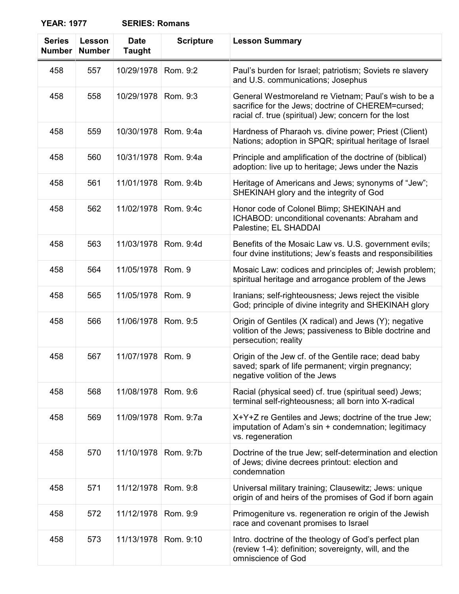| <b>SERIES: Romans</b> |  |
|-----------------------|--|
|-----------------------|--|

| <b>Series</b><br><b>Number</b> | Lesson<br><b>Number</b> | <b>Date</b><br><b>Taught</b> | <b>Scripture</b> | <b>Lesson Summary</b>                                                                                                                                               |
|--------------------------------|-------------------------|------------------------------|------------------|---------------------------------------------------------------------------------------------------------------------------------------------------------------------|
| 458                            | 557                     | 10/29/1978                   | Rom. 9:2         | Paul's burden for Israel; patriotism; Soviets re slavery<br>and U.S. communications; Josephus                                                                       |
| 458                            | 558                     | 10/29/1978                   | Rom. 9:3         | General Westmoreland re Vietnam; Paul's wish to be a<br>sacrifice for the Jews; doctrine of CHEREM=cursed;<br>racial cf. true (spiritual) Jew; concern for the lost |
| 458                            | 559                     | 10/30/1978                   | Rom. 9:4a        | Hardness of Pharaoh vs. divine power; Priest (Client)<br>Nations; adoption in SPQR; spiritual heritage of Israel                                                    |
| 458                            | 560                     | 10/31/1978                   | Rom. 9:4a        | Principle and amplification of the doctrine of (biblical)<br>adoption: live up to heritage; Jews under the Nazis                                                    |
| 458                            | 561                     | 11/01/1978                   | Rom. 9:4b        | Heritage of Americans and Jews; synonyms of "Jew";<br>SHEKINAH glory and the integrity of God                                                                       |
| 458                            | 562                     | 11/02/1978                   | Rom. 9:4c        | Honor code of Colonel Blimp; SHEKINAH and<br>ICHABOD: unconditional covenants: Abraham and<br>Palestine; EL SHADDAI                                                 |
| 458                            | 563                     | 11/03/1978                   | Rom. 9:4d        | Benefits of the Mosaic Law vs. U.S. government evils;<br>four dvine institutions; Jew's feasts and responsibilities                                                 |
| 458                            | 564                     | 11/05/1978                   | Rom. 9           | Mosaic Law: codices and principles of; Jewish problem;<br>spiritual heritage and arrogance problem of the Jews                                                      |
| 458                            | 565                     | 11/05/1978                   | Rom. 9           | Iranians; self-righteousness; Jews reject the visible<br>God; principle of divine integrity and SHEKINAH glory                                                      |
| 458                            | 566                     | 11/06/1978                   | Rom. 9:5         | Origin of Gentiles (X radical) and Jews (Y); negative<br>volition of the Jews; passiveness to Bible doctrine and<br>persecution; reality                            |
| 458                            | 567                     | 11/07/1978                   | Rom. 9           | Origin of the Jew cf. of the Gentile race; dead baby<br>saved; spark of life permanent; virgin pregnancy;<br>negative volition of the Jews                          |
| 458                            | 568                     | 11/08/1978                   | Rom. 9:6         | Racial (physical seed) cf. true (spiritual seed) Jews;<br>terminal self-righteousness; all born into X-radical                                                      |
| 458                            | 569                     | 11/09/1978                   | Rom. 9:7a        | X+Y+Z re Gentiles and Jews; doctrine of the true Jew;<br>imputation of Adam's sin + condemnation; legitimacy<br>vs. regeneration                                    |
| 458                            | 570                     | 11/10/1978                   | Rom. 9:7b        | Doctrine of the true Jew; self-determination and election<br>of Jews; divine decrees printout: election and<br>condemnation                                         |
| 458                            | 571                     | 11/12/1978                   | Rom. 9:8         | Universal military training; Clausewitz; Jews: unique<br>origin of and heirs of the promises of God if born again                                                   |
| 458                            | 572                     | 11/12/1978                   | Rom. 9:9         | Primogeniture vs. regeneration re origin of the Jewish<br>race and covenant promises to Israel                                                                      |
| 458                            | 573                     | 11/13/1978                   | Rom. 9:10        | Intro. doctrine of the theology of God's perfect plan<br>(review 1-4): definition; sovereignty, will, and the<br>omniscience of God                                 |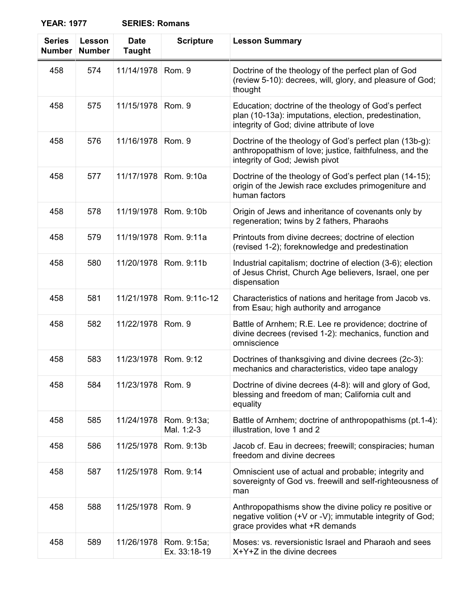| <b>Series</b><br><b>Number</b> | Lesson<br><b>Number</b> | <b>Date</b><br><b>Taught</b> | <b>Scripture</b>            | <b>Lesson Summary</b>                                                                                                                                       |
|--------------------------------|-------------------------|------------------------------|-----------------------------|-------------------------------------------------------------------------------------------------------------------------------------------------------------|
| 458                            | 574                     | 11/14/1978                   | Rom. 9                      | Doctrine of the theology of the perfect plan of God<br>(review 5-10): decrees, will, glory, and pleasure of God;<br>thought                                 |
| 458                            | 575                     | 11/15/1978                   | Rom. 9                      | Education; doctrine of the theology of God's perfect<br>plan (10-13a): imputations, election, predestination,<br>integrity of God; divine attribute of love |
| 458                            | 576                     | 11/16/1978                   | Rom. 9                      | Doctrine of the theology of God's perfect plan (13b-g):<br>anthropopathism of love; justice, faithfulness, and the<br>integrity of God; Jewish pivot        |
| 458                            | 577                     | 11/17/1978                   | Rom. 9:10a                  | Doctrine of the theology of God's perfect plan (14-15);<br>origin of the Jewish race excludes primogeniture and<br>human factors                            |
| 458                            | 578                     | 11/19/1978                   | Rom. 9:10b                  | Origin of Jews and inheritance of covenants only by<br>regeneration; twins by 2 fathers, Pharaohs                                                           |
| 458                            | 579                     | 11/19/1978                   | Rom. 9:11a                  | Printouts from divine decrees; doctrine of election<br>(revised 1-2); foreknowledge and predestination                                                      |
| 458                            | 580                     | 11/20/1978                   | Rom. 9:11b                  | Industrial capitalism; doctrine of election (3-6); election<br>of Jesus Christ, Church Age believers, Israel, one per<br>dispensation                       |
| 458                            | 581                     | 11/21/1978                   | Rom. 9:11c-12               | Characteristics of nations and heritage from Jacob vs.<br>from Esau; high authority and arrogance                                                           |
| 458                            | 582                     | 11/22/1978                   | Rom. 9                      | Battle of Arnhem; R.E. Lee re providence; doctrine of<br>divine decrees (revised 1-2): mechanics, function and<br>omniscience                               |
| 458                            | 583                     | 11/23/1978                   | Rom. 9:12                   | Doctrines of thanksgiving and divine decrees (2c-3):<br>mechanics and characteristics, video tape analogy                                                   |
| 458                            | 584                     | 11/23/1978                   | Rom. 9                      | Doctrine of divine decrees (4-8): will and glory of God,<br>blessing and freedom of man; California cult and<br>equality                                    |
| 458                            | 585                     | 11/24/1978                   | Rom. 9:13a;<br>Mal. 1:2-3   | Battle of Arnhem; doctrine of anthropopathisms (pt. 1-4):<br>illustration, love 1 and 2                                                                     |
| 458                            | 586                     | 11/25/1978                   | Rom. 9:13b                  | Jacob cf. Eau in decrees; freewill; conspiracies; human<br>freedom and divine decrees                                                                       |
| 458                            | 587                     | 11/25/1978                   | Rom. 9:14                   | Omniscient use of actual and probable; integrity and<br>sovereignty of God vs. freewill and self-righteousness of<br>man                                    |
| 458                            | 588                     | 11/25/1978                   | Rom. 9                      | Anthropopathisms show the divine policy re positive or<br>negative volition (+V or -V); immutable integrity of God;<br>grace provides what +R demands       |
| 458                            | 589                     | 11/26/1978                   | Rom. 9:15a;<br>Ex. 33:18-19 | Moses: vs. reversionistic Israel and Pharaoh and sees<br>X+Y+Z in the divine decrees                                                                        |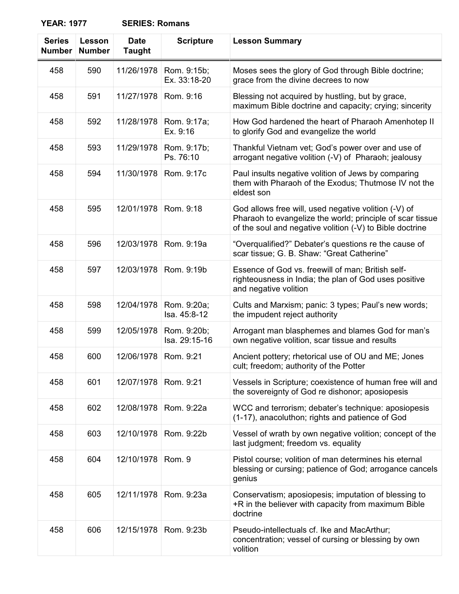| <b>SERIES: Romans</b> |  |
|-----------------------|--|
|-----------------------|--|

| <b>Series</b><br><b>Number</b> | Lesson<br><b>Number</b> | <b>Date</b><br><b>Taught</b> | <b>Scripture</b>             | <b>Lesson Summary</b>                                                                                                                                                         |
|--------------------------------|-------------------------|------------------------------|------------------------------|-------------------------------------------------------------------------------------------------------------------------------------------------------------------------------|
| 458                            | 590                     | 11/26/1978                   | Rom. 9:15b;<br>Ex. 33:18-20  | Moses sees the glory of God through Bible doctrine;<br>grace from the divine decrees to now                                                                                   |
| 458                            | 591                     | 11/27/1978                   | Rom. 9:16                    | Blessing not acquired by hustling, but by grace,<br>maximum Bible doctrine and capacity; crying; sincerity                                                                    |
| 458                            | 592                     | 11/28/1978                   | Rom. 9:17a;<br>Ex. 9:16      | How God hardened the heart of Pharaoh Amenhotep II<br>to glorify God and evangelize the world                                                                                 |
| 458                            | 593                     | 11/29/1978                   | Rom. 9:17b;<br>Ps. 76:10     | Thankful Vietnam vet; God's power over and use of<br>arrogant negative volition (-V) of Pharaoh; jealousy                                                                     |
| 458                            | 594                     | 11/30/1978                   | Rom. 9:17c                   | Paul insults negative volition of Jews by comparing<br>them with Pharaoh of the Exodus; Thutmose IV not the<br>eldest son                                                     |
| 458                            | 595                     | 12/01/1978                   | Rom. 9:18                    | God allows free will, used negative volition (-V) of<br>Pharaoh to evangelize the world; principle of scar tissue<br>of the soul and negative volition (-V) to Bible doctrine |
| 458                            | 596                     | 12/03/1978                   | Rom. 9:19a                   | "Overqualified?" Debater's questions re the cause of<br>scar tissue; G. B. Shaw: "Great Catherine"                                                                            |
| 458                            | 597                     | 12/03/1978                   | Rom. 9:19b                   | Essence of God vs. freewill of man; British self-<br>righteousness in India; the plan of God uses positive<br>and negative volition                                           |
| 458                            | 598                     | 12/04/1978                   | Rom. 9:20a;<br>Isa. 45:8-12  | Cults and Marxism; panic: 3 types; Paul's new words;<br>the impudent reject authority                                                                                         |
| 458                            | 599                     | 12/05/1978                   | Rom. 9:20b;<br>Isa. 29:15-16 | Arrogant man blasphemes and blames God for man's<br>own negative volition, scar tissue and results                                                                            |
| 458                            | 600                     | 12/06/1978                   | Rom. 9:21                    | Ancient pottery; rhetorical use of OU and ME; Jones<br>cult; freedom; authority of the Potter                                                                                 |
| 458                            | 601                     | 12/07/1978                   | Rom. 9:21                    | Vessels in Scripture; coexistence of human free will and<br>the sovereignty of God re dishonor; aposiopesis                                                                   |
| 458                            | 602                     | 12/08/1978                   | Rom. 9:22a                   | WCC and terrorism; debater's technique: aposiopesis<br>(1-17), anacoluthon; rights and patience of God                                                                        |
| 458                            | 603                     | 12/10/1978                   | Rom. 9:22b                   | Vessel of wrath by own negative volition; concept of the<br>last judgment; freedom vs. equality                                                                               |
| 458                            | 604                     | 12/10/1978                   | Rom. 9                       | Pistol course; volition of man determines his eternal<br>blessing or cursing; patience of God; arrogance cancels<br>genius                                                    |
| 458                            | 605                     | 12/11/1978                   | Rom. 9:23a                   | Conservatism; aposiopesis; imputation of blessing to<br>+R in the believer with capacity from maximum Bible<br>doctrine                                                       |
| 458                            | 606                     | 12/15/1978                   | Rom. 9:23b                   | Pseudo-intellectuals cf. Ike and MacArthur;<br>concentration; vessel of cursing or blessing by own<br>volition                                                                |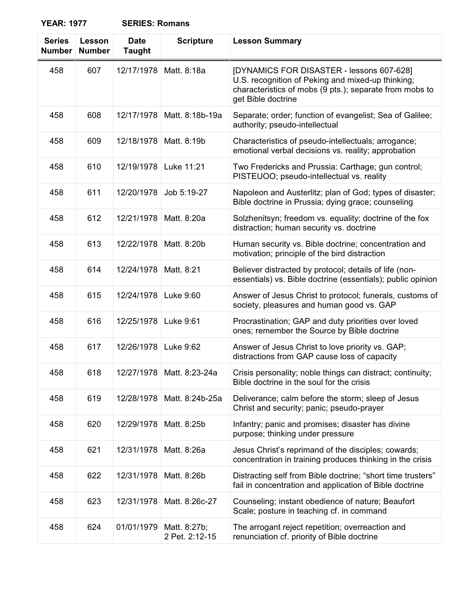| <b>SERIES: Romans</b> |  |
|-----------------------|--|
|-----------------------|--|

| <b>Series</b><br><b>Number</b> | <b>Lesson</b><br><b>Number</b> | <b>Date</b><br><b>Taught</b> | <b>Scripture</b>               | <b>Lesson Summary</b>                                                                                                                                                           |
|--------------------------------|--------------------------------|------------------------------|--------------------------------|---------------------------------------------------------------------------------------------------------------------------------------------------------------------------------|
| 458                            | 607                            | 12/17/1978                   | Matt. 8:18a                    | [DYNAMICS FOR DISASTER - lessons 607-628]<br>U.S. recognition of Peking and mixed-up thinking;<br>characteristics of mobs (9 pts.); separate from mobs to<br>get Bible doctrine |
| 458                            | 608                            | 12/17/1978                   | Matt. 8:18b-19a                | Separate; order; function of evangelist; Sea of Galilee;<br>authority; pseudo-intellectual                                                                                      |
| 458                            | 609                            | 12/18/1978                   | Matt. 8:19b                    | Characteristics of pseudo-intellectuals; arrogance;<br>emotional verbal decisions vs. reality; approbation                                                                      |
| 458                            | 610                            | 12/19/1978                   | Luke 11:21                     | Two Fredericks and Prussia: Carthage; gun control;<br>PISTEUOO; pseudo-intellectual vs. reality                                                                                 |
| 458                            | 611                            | 12/20/1978                   | Job 5:19-27                    | Napoleon and Austerlitz; plan of God; types of disaster;<br>Bible doctrine in Prussia; dying grace; counseling                                                                  |
| 458                            | 612                            | 12/21/1978                   | Matt. 8:20a                    | Solzhenitsyn; freedom vs. equality; doctrine of the fox<br>distraction; human security vs. doctrine                                                                             |
| 458                            | 613                            | 12/22/1978                   | Matt. 8:20b                    | Human security vs. Bible doctrine; concentration and<br>motivation; principle of the bird distraction                                                                           |
| 458                            | 614                            | 12/24/1978                   | Matt. 8:21                     | Believer distracted by protocol; details of life (non-<br>essentials) vs. Bible doctrine (essentials); public opinion                                                           |
| 458                            | 615                            | 12/24/1978                   | Luke 9:60                      | Answer of Jesus Christ to protocol; funerals, customs of<br>society, pleasures and human good vs. GAP                                                                           |
| 458                            | 616                            | 12/25/1978                   | Luke 9:61                      | Procrastination; GAP and duty priorities over loved<br>ones; remember the Source by Bible doctrine                                                                              |
| 458                            | 617                            | 12/26/1978                   | Luke 9:62                      | Answer of Jesus Christ to love priority vs. GAP;<br>distractions from GAP cause loss of capacity                                                                                |
| 458                            | 618                            | 12/27/1978                   | Matt. 8:23-24a                 | Crisis personality; noble things can distract; continuity;<br>Bible doctrine in the soul for the crisis                                                                         |
| 458                            | 619                            | 12/28/1978                   | Matt. 8:24b-25a                | Deliverance; calm before the storm; sleep of Jesus<br>Christ and security; panic; pseudo-prayer                                                                                 |
| 458                            | 620                            | 12/29/1978                   | Matt. 8:25b                    | Infantry; panic and promises; disaster has divine<br>purpose; thinking under pressure                                                                                           |
| 458                            | 621                            | 12/31/1978                   | Matt. 8:26a                    | Jesus Christ's reprimand of the disciples; cowards;<br>concentration in training produces thinking in the crisis                                                                |
| 458                            | 622                            | 12/31/1978                   | Matt. 8:26b                    | Distracting self from Bible doctrine; "short time trusters"<br>fail in concentration and application of Bible doctrine                                                          |
| 458                            | 623                            | 12/31/1978                   | Matt. 8:26c-27                 | Counseling; instant obedience of nature; Beaufort<br>Scale; posture in teaching cf. in command                                                                                  |
| 458                            | 624                            | 01/01/1979                   | Matt. 8:27b;<br>2 Pet. 2:12-15 | The arrogant reject repetition; overreaction and<br>renunciation cf. priority of Bible doctrine                                                                                 |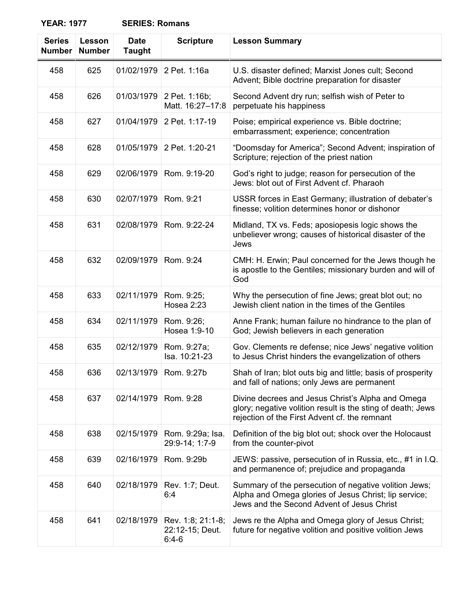| <b>Series</b><br><b>Number</b> | <b>Lesson</b><br><b>Number</b> | <b>Date</b><br><b>Taught</b> | <b>Scripture</b>                                | <b>Lesson Summary</b>                                                                                                                                             |
|--------------------------------|--------------------------------|------------------------------|-------------------------------------------------|-------------------------------------------------------------------------------------------------------------------------------------------------------------------|
| 458                            | 625                            | 01/02/1979                   | 2 Pet. 1:16a                                    | U.S. disaster defined; Marxist Jones cult; Second<br>Advent; Bible doctrine preparation for disaster                                                              |
| 458                            | 626                            | 01/03/1979                   | 2 Pet. 1:16b;<br>Matt. 16:27-17:8               | Second Advent dry run; selfish wish of Peter to<br>perpetuate his happiness                                                                                       |
| 458                            | 627                            | 01/04/1979                   | 2 Pet. 1:17-19                                  | Poise; empirical experience vs. Bible doctrine;<br>embarrassment; experience; concentration                                                                       |
| 458                            | 628                            | 01/05/1979                   | 2 Pet. 1:20-21                                  | "Doomsday for America"; Second Advent; inspiration of<br>Scripture; rejection of the priest nation                                                                |
| 458                            | 629                            | 02/06/1979                   | Rom. 9:19-20                                    | God's right to judge; reason for persecution of the<br>Jews: blot out of First Advent cf. Pharaoh                                                                 |
| 458                            | 630                            | 02/07/1979                   | Rom. 9:21                                       | USSR forces in East Germany; illustration of debater's<br>finesse; volition determines honor or dishonor                                                          |
| 458                            | 631                            | 02/08/1979                   | Rom. 9:22-24                                    | Midland, TX vs. Feds; aposiopesis logic shows the<br>unbeliever wrong; causes of historical disaster of the<br>Jews                                               |
| 458                            | 632                            | 02/09/1979                   | Rom. 9:24                                       | CMH: H. Erwin; Paul concerned for the Jews though he<br>is apostle to the Gentiles; missionary burden and will of<br>God                                          |
| 458                            | 633                            | 02/11/1979                   | Rom. 9:25;<br>Hosea 2:23                        | Why the persecution of fine Jews; great blot out; no<br>Jewish client nation in the times of the Gentiles                                                         |
| 458                            | 634                            | 02/11/1979                   | Rom. 9:26;<br>Hosea 1:9-10                      | Anne Frank; human failure no hindrance to the plan of<br>God; Jewish believers in each generation                                                                 |
| 458                            | 635                            | 02/12/1979                   | Rom. 9:27a;<br>Isa. 10:21-23                    | Gov. Clements re defense; nice Jews' negative volition<br>to Jesus Christ hinders the evangelization of others                                                    |
| 458                            | 636                            | 02/13/1979                   | Rom. 9:27b                                      | Shah of Iran; blot outs big and little; basis of prosperity<br>and fall of nations; only Jews are permanent                                                       |
| 458                            | 637                            | 02/14/1979                   | Rom. 9:28                                       | Divine decrees and Jesus Christ's Alpha and Omega<br>glory; negative volition result is the sting of death; Jews<br>rejection of the First Advent cf. the remnant |
| 458                            | 638                            | 02/15/1979                   | Rom. 9:29a; Isa.<br>29:9-14; 1:7-9              | Definition of the big blot out; shock over the Holocaust<br>from the counter-pivot                                                                                |
| 458                            | 639                            | 02/16/1979                   | Rom. 9:29b                                      | JEWS: passive, persecution of in Russia, etc., #1 in I.Q.<br>and permanence of; prejudice and propaganda                                                          |
| 458                            | 640                            | 02/18/1979                   | Rev. 1:7; Deut.<br>6:4                          | Summary of the persecution of negative volition Jews;<br>Alpha and Omega glories of Jesus Christ; lip service;<br>Jews and the Second Advent of Jesus Christ      |
| 458                            | 641                            | 02/18/1979                   | Rev. 1:8; 21:1-8;<br>22:12-15; Deut.<br>$6:4-6$ | Jews re the Alpha and Omega glory of Jesus Christ;<br>future for negative volition and positive volition Jews                                                     |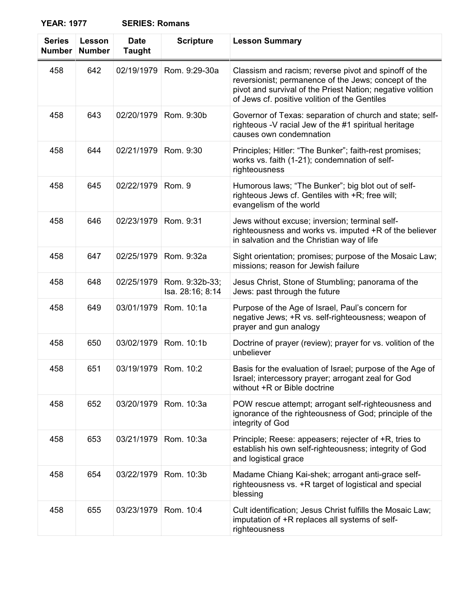| <b>Series</b><br><b>Number</b> | Lesson<br><b>Number</b> | <b>Date</b><br><b>Taught</b> | <b>Scripture</b>                   | <b>Lesson Summary</b>                                                                                                                                                                                                        |
|--------------------------------|-------------------------|------------------------------|------------------------------------|------------------------------------------------------------------------------------------------------------------------------------------------------------------------------------------------------------------------------|
| 458                            | 642                     | 02/19/1979                   | Rom. 9:29-30a                      | Classism and racism; reverse pivot and spinoff of the<br>reversionist; permanence of the Jews; concept of the<br>pivot and survival of the Priest Nation; negative volition<br>of Jews cf. positive volition of the Gentiles |
| 458                            | 643                     | 02/20/1979                   | Rom. 9:30b                         | Governor of Texas: separation of church and state; self-<br>righteous -V racial Jew of the #1 spiritual heritage<br>causes own condemnation                                                                                  |
| 458                            | 644                     | 02/21/1979                   | Rom. 9:30                          | Principles; Hitler: "The Bunker"; faith-rest promises;<br>works vs. faith (1-21); condemnation of self-<br>righteousness                                                                                                     |
| 458                            | 645                     | 02/22/1979                   | Rom. 9                             | Humorous laws; "The Bunker"; big blot out of self-<br>righteous Jews cf. Gentiles with +R; free will;<br>evangelism of the world                                                                                             |
| 458                            | 646                     | 02/23/1979                   | Rom. 9:31                          | Jews without excuse; inversion; terminal self-<br>righteousness and works vs. imputed +R of the believer<br>in salvation and the Christian way of life                                                                       |
| 458                            | 647                     | 02/25/1979                   | Rom. 9:32a                         | Sight orientation; promises; purpose of the Mosaic Law;<br>missions; reason for Jewish failure                                                                                                                               |
| 458                            | 648                     | 02/25/1979                   | Rom. 9:32b-33;<br>Isa. 28:16; 8:14 | Jesus Christ, Stone of Stumbling; panorama of the<br>Jews: past through the future                                                                                                                                           |
| 458                            | 649                     | 03/01/1979                   | Rom. 10:1a                         | Purpose of the Age of Israel, Paul's concern for<br>negative Jews; +R vs. self-righteousness; weapon of<br>prayer and gun analogy                                                                                            |
| 458                            | 650                     | 03/02/1979                   | Rom. 10:1b                         | Doctrine of prayer (review); prayer for vs. volition of the<br>unbeliever                                                                                                                                                    |
| 458                            | 651                     | 03/19/1979 Rom. 10:2         |                                    | Basis for the evaluation of Israel; purpose of the Age of<br>Israel; intercessory prayer; arrogant zeal for God<br>without +R or Bible doctrine                                                                              |
| 458                            | 652                     | 03/20/1979                   | Rom. 10:3a                         | POW rescue attempt; arrogant self-righteousness and<br>ignorance of the righteousness of God; principle of the<br>integrity of God                                                                                           |
| 458                            | 653                     | 03/21/1979                   | Rom. 10:3a                         | Principle; Reese: appeasers; rejecter of +R, tries to<br>establish his own self-righteousness; integrity of God<br>and logistical grace                                                                                      |
| 458                            | 654                     | 03/22/1979                   | Rom. 10:3b                         | Madame Chiang Kai-shek; arrogant anti-grace self-<br>righteousness vs. +R target of logistical and special<br>blessing                                                                                                       |
| 458                            | 655                     | 03/23/1979                   | Rom. 10:4                          | Cult identification; Jesus Christ fulfills the Mosaic Law;<br>imputation of +R replaces all systems of self-<br>righteousness                                                                                                |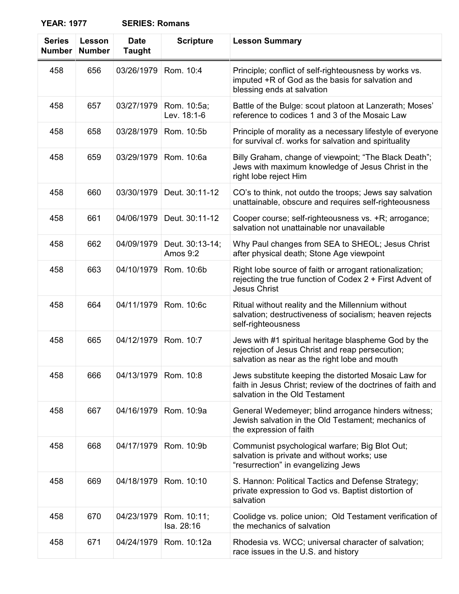| <b>SERIES: Romans</b> |  |
|-----------------------|--|
|-----------------------|--|

| <b>Series</b><br><b>Number</b> | Lesson<br><b>Number</b> | <b>Date</b><br><b>Taught</b> | <b>Scripture</b>            | <b>Lesson Summary</b>                                                                                                                                    |
|--------------------------------|-------------------------|------------------------------|-----------------------------|----------------------------------------------------------------------------------------------------------------------------------------------------------|
| 458                            | 656                     | 03/26/1979                   | Rom. 10:4                   | Principle; conflict of self-righteousness by works vs.<br>imputed +R of God as the basis for salvation and<br>blessing ends at salvation                 |
| 458                            | 657                     | 03/27/1979                   | Rom. 10:5a;<br>Lev. 18:1-6  | Battle of the Bulge: scout platoon at Lanzerath; Moses'<br>reference to codices 1 and 3 of the Mosaic Law                                                |
| 458                            | 658                     | 03/28/1979                   | Rom. 10:5b                  | Principle of morality as a necessary lifestyle of everyone<br>for survival cf. works for salvation and spirituality                                      |
| 458                            | 659                     | 03/29/1979                   | Rom. 10:6a                  | Billy Graham, change of viewpoint; "The Black Death";<br>Jews with maximum knowledge of Jesus Christ in the<br>right lobe reject Him                     |
| 458                            | 660                     | 03/30/1979                   | Deut. 30:11-12              | CO's to think, not outdo the troops; Jews say salvation<br>unattainable, obscure and requires self-righteousness                                         |
| 458                            | 661                     | 04/06/1979                   | Deut. 30:11-12              | Cooper course; self-righteousness vs. +R; arrogance;<br>salvation not unattainable nor unavailable                                                       |
| 458                            | 662                     | 04/09/1979                   | Deut. 30:13-14;<br>Amos 9:2 | Why Paul changes from SEA to SHEOL; Jesus Christ<br>after physical death; Stone Age viewpoint                                                            |
| 458                            | 663                     | 04/10/1979                   | Rom. 10:6b                  | Right lobe source of faith or arrogant rationalization;<br>rejecting the true function of Codex 2 + First Advent of<br><b>Jesus Christ</b>               |
| 458                            | 664                     | 04/11/1979                   | Rom. 10:6c                  | Ritual without reality and the Millennium without<br>salvation; destructiveness of socialism; heaven rejects<br>self-righteousness                       |
| 458                            | 665                     | 04/12/1979                   | Rom. 10:7                   | Jews with #1 spiritual heritage blaspheme God by the<br>rejection of Jesus Christ and reap persecution;<br>salvation as near as the right lobe and mouth |
| 458                            | 666                     | 04/13/1979                   | Rom. 10:8                   | Jews substitute keeping the distorted Mosaic Law for<br>faith in Jesus Christ; review of the doctrines of faith and<br>salvation in the Old Testament    |
| 458                            | 667                     | 04/16/1979                   | Rom. 10:9a                  | General Wedemeyer; blind arrogance hinders witness;<br>Jewish salvation in the Old Testament; mechanics of<br>the expression of faith                    |
| 458                            | 668                     | 04/17/1979                   | Rom. 10:9b                  | Communist psychological warfare; Big Blot Out;<br>salvation is private and without works; use<br>"resurrection" in evangelizing Jews                     |
| 458                            | 669                     | 04/18/1979                   | Rom. 10:10                  | S. Hannon: Political Tactics and Defense Strategy;<br>private expression to God vs. Baptist distortion of<br>salvation                                   |
| 458                            | 670                     | 04/23/1979                   | Rom. 10:11;<br>Isa. 28:16   | Coolidge vs. police union; Old Testament verification of<br>the mechanics of salvation                                                                   |
| 458                            | 671                     | 04/24/1979                   | Rom. 10:12a                 | Rhodesia vs. WCC; universal character of salvation;<br>race issues in the U.S. and history                                                               |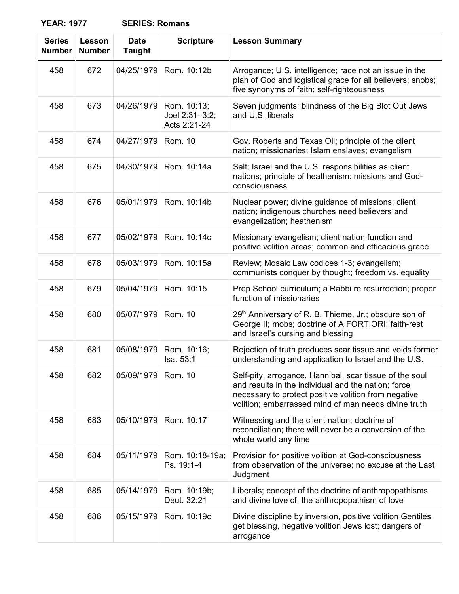| <b>SERIES: Romans</b> |
|-----------------------|
|-----------------------|

| <b>Series</b><br><b>Number</b> | Lesson<br><b>Number</b> | <b>Date</b><br><b>Taught</b> | <b>Scripture</b>                              | <b>Lesson Summary</b>                                                                                                                                                                                                          |
|--------------------------------|-------------------------|------------------------------|-----------------------------------------------|--------------------------------------------------------------------------------------------------------------------------------------------------------------------------------------------------------------------------------|
| 458                            | 672                     | 04/25/1979                   | Rom. 10:12b                                   | Arrogance; U.S. intelligence; race not an issue in the<br>plan of God and logistical grace for all believers; snobs;<br>five synonyms of faith; self-righteousness                                                             |
| 458                            | 673                     | 04/26/1979                   | Rom. 10:13;<br>Joel 2:31-3:2;<br>Acts 2:21-24 | Seven judgments; blindness of the Big Blot Out Jews<br>and U.S. liberals                                                                                                                                                       |
| 458                            | 674                     | 04/27/1979                   | Rom. 10                                       | Gov. Roberts and Texas Oil; principle of the client<br>nation; missionaries; Islam enslaves; evangelism                                                                                                                        |
| 458                            | 675                     | 04/30/1979                   | Rom. 10:14a                                   | Salt; Israel and the U.S. responsibilities as client<br>nations; principle of heathenism: missions and God-<br>consciousness                                                                                                   |
| 458                            | 676                     | 05/01/1979                   | Rom. 10:14b                                   | Nuclear power; divine guidance of missions; client<br>nation; indigenous churches need believers and<br>evangelization; heathenism                                                                                             |
| 458                            | 677                     | 05/02/1979                   | Rom. 10:14c                                   | Missionary evangelism; client nation function and<br>positive volition areas; common and efficacious grace                                                                                                                     |
| 458                            | 678                     | 05/03/1979                   | Rom. 10:15a                                   | Review; Mosaic Law codices 1-3; evangelism;<br>communists conquer by thought; freedom vs. equality                                                                                                                             |
| 458                            | 679                     | 05/04/1979                   | Rom. 10:15                                    | Prep School curriculum; a Rabbi re resurrection; proper<br>function of missionaries                                                                                                                                            |
| 458                            | 680                     | 05/07/1979                   | Rom. 10                                       | 29 <sup>th</sup> Anniversary of R. B. Thieme, Jr.; obscure son of<br>George II; mobs; doctrine of A FORTIORI; faith-rest<br>and Israel's cursing and blessing                                                                  |
| 458                            | 681                     | 05/08/1979                   | Rom. 10:16;<br>Isa. 53:1                      | Rejection of truth produces scar tissue and voids former<br>understanding and application to Israel and the U.S.                                                                                                               |
| 458                            | 682                     | 05/09/1979                   | Rom. 10                                       | Self-pity, arrogance, Hannibal, scar tissue of the soul<br>and results in the individual and the nation; force<br>necessary to protect positive volition from negative<br>volition; embarrassed mind of man needs divine truth |
| 458                            | 683                     | 05/10/1979                   | Rom. 10:17                                    | Witnessing and the client nation; doctrine of<br>reconciliation; there will never be a conversion of the<br>whole world any time                                                                                               |
| 458                            | 684                     | 05/11/1979                   | Rom. 10:18-19a;<br>Ps. 19:1-4                 | Provision for positive volition at God-consciousness<br>from observation of the universe; no excuse at the Last<br>Judgment                                                                                                    |
| 458                            | 685                     | 05/14/1979                   | Rom. 10:19b;<br>Deut. 32:21                   | Liberals; concept of the doctrine of anthropopathisms<br>and divine love cf. the anthropopathism of love                                                                                                                       |
| 458                            | 686                     | 05/15/1979                   | Rom. 10:19c                                   | Divine discipline by inversion, positive volition Gentiles<br>get blessing, negative volition Jews lost; dangers of<br>arrogance                                                                                               |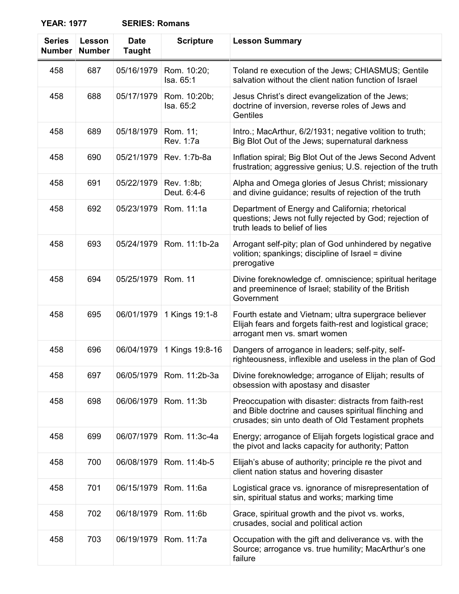| <b>Series</b><br><b>Number</b> | Lesson<br><b>Number</b> | <b>Date</b><br><b>Taught</b> | <b>Scripture</b>          | <b>Lesson Summary</b>                                                                                                                                                 |
|--------------------------------|-------------------------|------------------------------|---------------------------|-----------------------------------------------------------------------------------------------------------------------------------------------------------------------|
| 458                            | 687                     | 05/16/1979                   | Rom. 10:20;<br>Isa. 65:1  | Toland re execution of the Jews; CHIASMUS; Gentile<br>salvation without the client nation function of Israel                                                          |
| 458                            | 688                     | 05/17/1979                   | Rom. 10:20b;<br>Isa. 65:2 | Jesus Christ's direct evangelization of the Jews;<br>doctrine of inversion, reverse roles of Jews and<br>Gentiles                                                     |
| 458                            | 689                     | 05/18/1979                   | Rom. 11;<br>Rev. 1:7a     | Intro.; MacArthur, 6/2/1931; negative volition to truth;<br>Big Blot Out of the Jews; supernatural darkness                                                           |
| 458                            | 690                     | 05/21/1979                   | Rev. 1:7b-8a              | Inflation spiral; Big Blot Out of the Jews Second Advent<br>frustration; aggressive genius; U.S. rejection of the truth                                               |
| 458                            | 691                     | 05/22/1979                   | Rev. 1:8b;<br>Deut. 6:4-6 | Alpha and Omega glories of Jesus Christ; missionary<br>and divine guidance; results of rejection of the truth                                                         |
| 458                            | 692                     | 05/23/1979                   | Rom. 11:1a                | Department of Energy and California; rhetorical<br>questions; Jews not fully rejected by God; rejection of<br>truth leads to belief of lies                           |
| 458                            | 693                     | 05/24/1979                   | Rom. 11:1b-2a             | Arrogant self-pity; plan of God unhindered by negative<br>volition; spankings; discipline of Israel = divine<br>prerogative                                           |
| 458                            | 694                     | 05/25/1979                   | <b>Rom. 11</b>            | Divine foreknowledge cf. omniscience; spiritual heritage<br>and preeminence of Israel; stability of the British<br>Government                                         |
| 458                            | 695                     | 06/01/1979                   | 1 Kings 19:1-8            | Fourth estate and Vietnam; ultra supergrace believer<br>Elijah fears and forgets faith-rest and logistical grace;<br>arrogant men vs. smart women                     |
| 458                            | 696                     | 06/04/1979                   | 1 Kings 19:8-16           | Dangers of arrogance in leaders; self-pity, self-<br>righteousness, inflexible and useless in the plan of God                                                         |
| 458                            | 697                     | 06/05/1979                   | Rom. 11:2b-3a             | Divine foreknowledge; arrogance of Elijah; results of<br>obsession with apostasy and disaster                                                                         |
| 458                            | 698                     | 06/06/1979                   | Rom. 11:3b                | Preoccupation with disaster: distracts from faith-rest<br>and Bible doctrine and causes spiritual flinching and<br>crusades; sin unto death of Old Testament prophets |
| 458                            | 699                     | 06/07/1979                   | Rom. 11:3c-4a             | Energy; arrogance of Elijah forgets logistical grace and<br>the pivot and lacks capacity for authority; Patton                                                        |
| 458                            | 700                     | 06/08/1979                   | Rom. 11:4b-5              | Elijah's abuse of authority; principle re the pivot and<br>client nation status and hovering disaster                                                                 |
| 458                            | 701                     | 06/15/1979                   | Rom. 11:6a                | Logistical grace vs. ignorance of misrepresentation of<br>sin, spiritual status and works; marking time                                                               |
| 458                            | 702                     | 06/18/1979                   | Rom. 11:6b                | Grace, spiritual growth and the pivot vs. works,<br>crusades, social and political action                                                                             |
| 458                            | 703                     | 06/19/1979                   | Rom. 11:7a                | Occupation with the gift and deliverance vs. with the<br>Source; arrogance vs. true humility; MacArthur's one<br>failure                                              |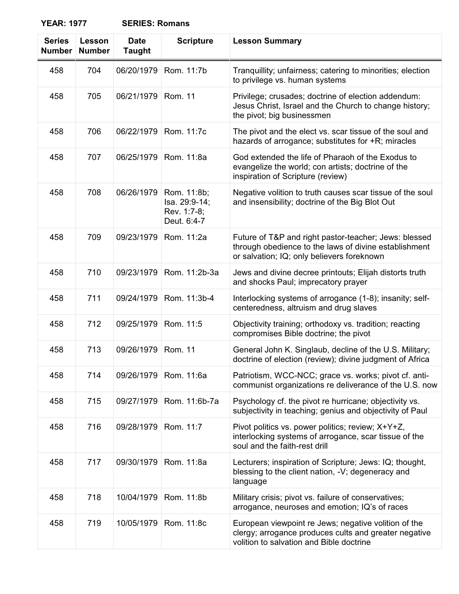| <b>Series</b><br><b>Number</b> | Lesson<br><b>Number</b> | <b>Date</b><br><b>Taught</b> | <b>Scripture</b>                                           | <b>Lesson Summary</b>                                                                                                                                        |
|--------------------------------|-------------------------|------------------------------|------------------------------------------------------------|--------------------------------------------------------------------------------------------------------------------------------------------------------------|
| 458                            | 704                     | 06/20/1979                   | Rom. 11:7b                                                 | Tranquillity; unfairness; catering to minorities; election<br>to privilege vs. human systems                                                                 |
| 458                            | 705                     | 06/21/1979                   | <b>Rom. 11</b>                                             | Privilege; crusades; doctrine of election addendum:<br>Jesus Christ, Israel and the Church to change history;<br>the pivot; big businessmen                  |
| 458                            | 706                     | 06/22/1979                   | Rom. 11:7c                                                 | The pivot and the elect vs. scar tissue of the soul and<br>hazards of arrogance; substitutes for +R; miracles                                                |
| 458                            | 707                     | 06/25/1979                   | Rom. 11:8a                                                 | God extended the life of Pharaoh of the Exodus to<br>evangelize the world; con artists; doctrine of the<br>inspiration of Scripture (review)                 |
| 458                            | 708                     | 06/26/1979                   | Rom. 11:8b;<br>Isa. 29:9-14;<br>Rev. 1:7-8;<br>Deut. 6:4-7 | Negative volition to truth causes scar tissue of the soul<br>and insensibility; doctrine of the Big Blot Out                                                 |
| 458                            | 709                     | 09/23/1979                   | Rom. 11:2a                                                 | Future of T&P and right pastor-teacher; Jews: blessed<br>through obedience to the laws of divine establishment<br>or salvation; IQ; only believers foreknown |
| 458                            | 710                     | 09/23/1979                   | Rom. 11:2b-3a                                              | Jews and divine decree printouts; Elijah distorts truth<br>and shocks Paul; imprecatory prayer                                                               |
| 458                            | 711                     | 09/24/1979                   | Rom. 11:3b-4                                               | Interlocking systems of arrogance (1-8); insanity; self-<br>centeredness, altruism and drug slaves                                                           |
| 458                            | 712                     | 09/25/1979                   | Rom. 11:5                                                  | Objectivity training; orthodoxy vs. tradition; reacting<br>compromises Bible doctrine; the pivot                                                             |
| 458                            | 713                     | 09/26/1979                   | Rom. 11                                                    | General John K. Singlaub, decline of the U.S. Military;<br>doctrine of election (review); divine judgment of Africa                                          |
| 458                            | 714                     | 09/26/1979                   | Rom. 11:6a                                                 | Patriotism, WCC-NCC; grace vs. works; pivot cf. anti-<br>communist organizations re deliverance of the U.S. now                                              |
| 458                            | 715                     | 09/27/1979                   | Rom. 11:6b-7a                                              | Psychology cf. the pivot re hurricane; objectivity vs.<br>subjectivity in teaching; genius and objectivity of Paul                                           |
| 458                            | 716                     | 09/28/1979                   | Rom. 11:7                                                  | Pivot politics vs. power politics; review; X+Y+Z,<br>interlocking systems of arrogance, scar tissue of the<br>soul and the faith-rest drill                  |
| 458                            | 717                     | 09/30/1979                   | Rom. 11:8a                                                 | Lecturers; inspiration of Scripture; Jews: IQ; thought,<br>blessing to the client nation, -V; degeneracy and<br>language                                     |
| 458                            | 718                     | 10/04/1979                   | Rom. 11:8b                                                 | Military crisis; pivot vs. failure of conservatives;<br>arrogance, neuroses and emotion; IQ's of races                                                       |
| 458                            | 719                     | 10/05/1979                   | Rom. 11:8c                                                 | European viewpoint re Jews; negative volition of the<br>clergy; arrogance produces cults and greater negative<br>volition to salvation and Bible doctrine    |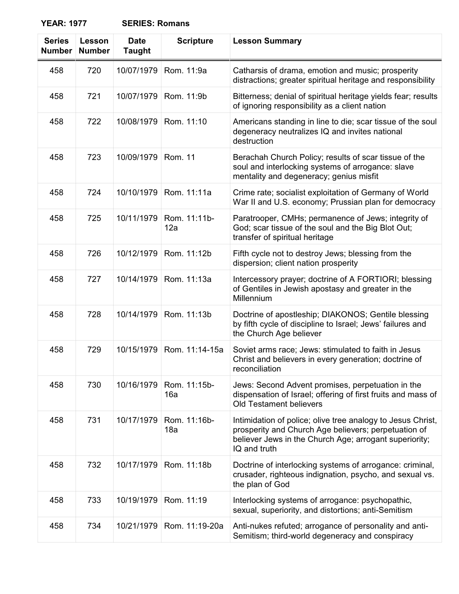| <b>Series</b><br><b>Number</b> | Lesson<br><b>Number</b> | <b>Date</b><br><b>Taught</b> | <b>Scripture</b>    | <b>Lesson Summary</b>                                                                                                                                                                         |
|--------------------------------|-------------------------|------------------------------|---------------------|-----------------------------------------------------------------------------------------------------------------------------------------------------------------------------------------------|
| 458                            | 720                     | 10/07/1979                   | Rom. 11:9a          | Catharsis of drama, emotion and music; prosperity<br>distractions; greater spiritual heritage and responsibility                                                                              |
| 458                            | 721                     | 10/07/1979                   | Rom. 11:9b          | Bitterness; denial of spiritual heritage yields fear; results<br>of ignoring responsibility as a client nation                                                                                |
| 458                            | 722                     | 10/08/1979                   | Rom. 11:10          | Americans standing in line to die; scar tissue of the soul<br>degeneracy neutralizes IQ and invites national<br>destruction                                                                   |
| 458                            | 723                     | 10/09/1979                   | <b>Rom. 11</b>      | Berachah Church Policy; results of scar tissue of the<br>soul and interlocking systems of arrogance: slave<br>mentality and degeneracy; genius misfit                                         |
| 458                            | 724                     | 10/10/1979                   | Rom. 11:11a         | Crime rate; socialist exploitation of Germany of World<br>War II and U.S. economy; Prussian plan for democracy                                                                                |
| 458                            | 725                     | 10/11/1979                   | Rom. 11:11b-<br>12a | Paratrooper, CMHs; permanence of Jews; integrity of<br>God; scar tissue of the soul and the Big Blot Out;<br>transfer of spiritual heritage                                                   |
| 458                            | 726                     | 10/12/1979                   | Rom. 11:12b         | Fifth cycle not to destroy Jews; blessing from the<br>dispersion; client nation prosperity                                                                                                    |
| 458                            | 727                     | 10/14/1979                   | Rom. 11:13a         | Intercessory prayer; doctrine of A FORTIORI; blessing<br>of Gentiles in Jewish apostasy and greater in the<br>Millennium                                                                      |
| 458                            | 728                     | 10/14/1979                   | Rom. 11:13b         | Doctrine of apostleship; DIAKONOS; Gentile blessing<br>by fifth cycle of discipline to Israel; Jews' failures and<br>the Church Age believer                                                  |
| 458                            | 729                     | 10/15/1979                   | Rom. 11:14-15a      | Soviet arms race; Jews: stimulated to faith in Jesus<br>Christ and believers in every generation; doctrine of<br>reconciliation                                                               |
| 458                            | 730                     | 10/16/1979                   | Rom. 11:15b-<br>16a | Jews: Second Advent promises, perpetuation in the<br>dispensation of Israel; offering of first fruits and mass of<br><b>Old Testament believers</b>                                           |
| 458                            | 731                     | 10/17/1979                   | Rom. 11:16b-<br>18a | Intimidation of police; olive tree analogy to Jesus Christ,<br>prosperity and Church Age believers; perpetuation of<br>believer Jews in the Church Age; arrogant superiority;<br>IQ and truth |
| 458                            | 732                     | 10/17/1979                   | Rom. 11:18b         | Doctrine of interlocking systems of arrogance: criminal,<br>crusader, righteous indignation, psycho, and sexual vs.<br>the plan of God                                                        |
| 458                            | 733                     | 10/19/1979                   | Rom. 11:19          | Interlocking systems of arrogance: psychopathic,<br>sexual, superiority, and distortions; anti-Semitism                                                                                       |
| 458                            | 734                     | 10/21/1979                   | Rom. 11:19-20a      | Anti-nukes refuted; arrogance of personality and anti-<br>Semitism; third-world degeneracy and conspiracy                                                                                     |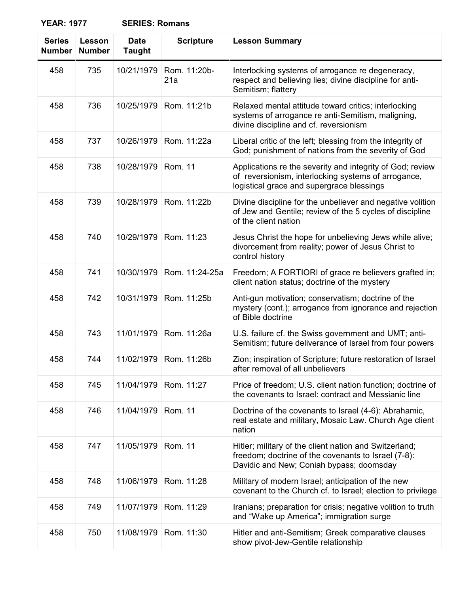| <b>SERIES: Romans</b> |  |
|-----------------------|--|
|-----------------------|--|

| <b>Series</b><br><b>Number</b> | Lesson<br><b>Number</b> | <b>Date</b><br><b>Taught</b> | <b>Scripture</b>    | <b>Lesson Summary</b>                                                                                                                                         |
|--------------------------------|-------------------------|------------------------------|---------------------|---------------------------------------------------------------------------------------------------------------------------------------------------------------|
| 458                            | 735                     | 10/21/1979                   | Rom. 11:20b-<br>21a | Interlocking systems of arrogance re degeneracy,<br>respect and believing lies; divine discipline for anti-<br>Semitism; flattery                             |
| 458                            | 736                     | 10/25/1979                   | Rom. 11:21b         | Relaxed mental attitude toward critics; interlocking<br>systems of arrogance re anti-Semitism, maligning,<br>divine discipline and cf. reversionism           |
| 458                            | 737                     | 10/26/1979                   | Rom. 11:22a         | Liberal critic of the left; blessing from the integrity of<br>God; punishment of nations from the severity of God                                             |
| 458                            | 738                     | 10/28/1979                   | <b>Rom. 11</b>      | Applications re the severity and integrity of God; review<br>of reversionism, interlocking systems of arrogance,<br>logistical grace and supergrace blessings |
| 458                            | 739                     | 10/28/1979                   | Rom. 11:22b         | Divine discipline for the unbeliever and negative volition<br>of Jew and Gentile; review of the 5 cycles of discipline<br>of the client nation                |
| 458                            | 740                     | 10/29/1979                   | Rom. 11:23          | Jesus Christ the hope for unbelieving Jews while alive;<br>divorcement from reality; power of Jesus Christ to<br>control history                              |
| 458                            | 741                     | 10/30/1979                   | Rom. 11:24-25a      | Freedom; A FORTIORI of grace re believers grafted in;<br>client nation status; doctrine of the mystery                                                        |
| 458                            | 742                     | 10/31/1979                   | Rom. 11:25b         | Anti-gun motivation; conservatism; doctrine of the<br>mystery (cont.); arrogance from ignorance and rejection<br>of Bible doctrine                            |
| 458                            | 743                     | 11/01/1979                   | Rom. 11:26a         | U.S. failure cf. the Swiss government and UMT; anti-<br>Semitism; future deliverance of Israel from four powers                                               |
| 458                            | 744                     | 11/02/1979                   | Rom. 11:26b         | Zion; inspiration of Scripture; future restoration of Israel<br>after removal of all unbelievers                                                              |
| 458                            | 745                     | 11/04/1979                   | Rom. 11:27          | Price of freedom; U.S. client nation function; doctrine of<br>the covenants to Israel: contract and Messianic line                                            |
| 458                            | 746                     | 11/04/1979                   | <b>Rom. 11</b>      | Doctrine of the covenants to Israel (4-6): Abrahamic,<br>real estate and military, Mosaic Law. Church Age client<br>nation                                    |
| 458                            | 747                     | 11/05/1979                   | <b>Rom. 11</b>      | Hitler; military of the client nation and Switzerland;<br>freedom; doctrine of the covenants to Israel (7-8):<br>Davidic and New; Coniah bypass; doomsday     |
| 458                            | 748                     | 11/06/1979                   | Rom. 11:28          | Military of modern Israel; anticipation of the new<br>covenant to the Church cf. to Israel; election to privilege                                             |
| 458                            | 749                     | 11/07/1979                   | Rom. 11:29          | Iranians; preparation for crisis; negative volition to truth<br>and "Wake up America"; immigration surge                                                      |
| 458                            | 750                     | 11/08/1979                   | Rom. 11:30          | Hitler and anti-Semitism; Greek comparative clauses<br>show pivot-Jew-Gentile relationship                                                                    |